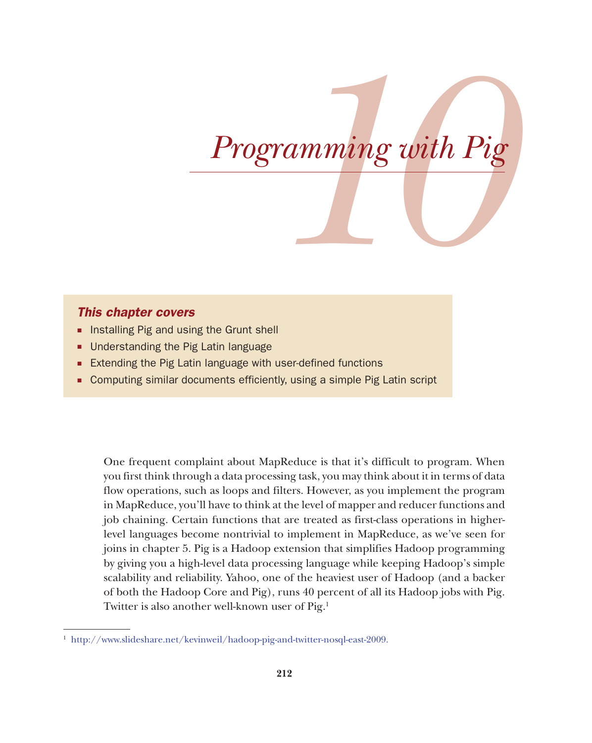# ramming with Pig *Programming with Pig*

# *This chapter covers*

- Installing Pig and using the Grunt shell
- Understanding the Pig Latin language
- Extending the Pig Latin language with user-defined functions
- Computing similar documents efficiently, using a simple Pig Latin script

One frequent complaint about MapReduce is that it's difficult to program. When you first think through a data processing task, you may think about it in terms of data flow operations, such as loops and filters. However, as you implement the program in MapReduce, you'll have to think at the level of mapper and reducer functions and job chaining. Certain functions that are treated as first-class operations in higherlevel languages become nontrivial to implement in MapReduce, as we've seen for joins in chapter 5. Pig is a Hadoop extension that simplifies Hadoop programming by giving you a high-level data processing language while keeping Hadoop's simple scalability and reliability. Yahoo, one of the heaviest user of Hadoop (and a backer of both the Hadoop Coreand Pig), runs 40 percent of all its Hadoop jobs with Pig. Twitter is also another well-known user of Pig.1

<sup>1</sup> [http://www.slideshare.net/kevinweil/hadoop-pig-and-twitter-nosql-east-2009.](http://www.slideshare.net/kevinweil/hadoop-pig-and-twitter-nosql-east-2009)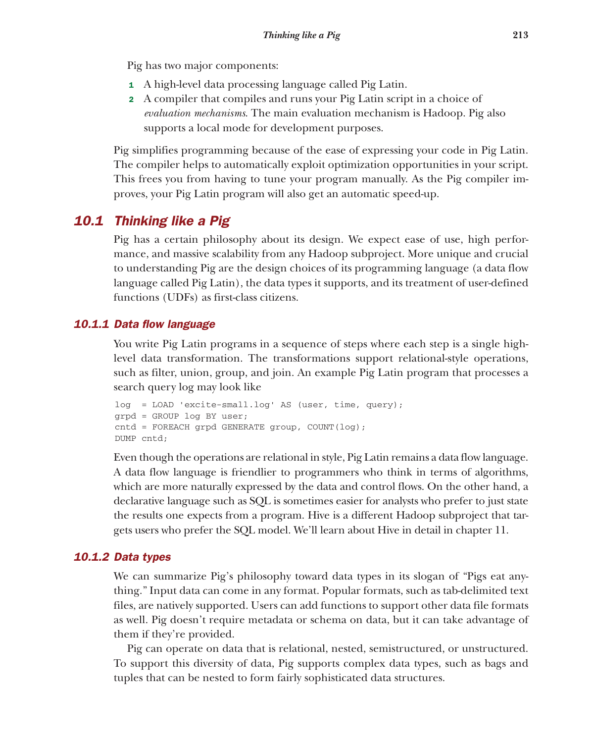Pig has two major components:

- 1 A high-level data processing language called Pig Latin.
- 2 A compiler that compiles and runs your Pig Latin script in a choice of *evaluation mechanisms* . The main evaluation mechanism is Hadoop. Pig also supports a local mode for development purposes.

Pig simplifies programming because of the ease of expressing your code in Pig Latin. The compiler helps to automatically exploit optimization opportunities in your script. This frees you from having to tune your program manually. As the Pig compiler improves, your Pig Latin program will also get an automatic speed-up.

# *10.1 Thinking like a Pig*

Pig has a certain philosophy about its design. We expect ease of use, high performance, and massive scalability from any Hadoop subproject. More unique and crucial to understanding Pig are the design choices of its programming language (a data flow language called Pig Latin), the data types it supports, and its treatment of user-defined functions (UDFs) as first-class citizens.

## *10.1.1 Data flow language*

You write Pig Latin programs in a sequence of steps where each step is a single highlevel data transformation. The transformations support relational-style operations, such as filter, union, group, and join. An example Pig Latin program that processes a search query log may look like

```
log = LOAD 'excite-small.log' AS (user, time, query);
grpd = GROUP log BY user;
cntd = FOREACH grpd GENERATE group, COUNT(log);
DUMP cntd;
```
Even though the operations are relational in style, Pig Latin remains a data flow language. A data flow language is friendlier to programmers who think in terms of algorithms, which are more naturally expressed by the data and control flows. On the other hand, a declarative language such as SQLis sometimes easier for analysts who prefer to just state the results one expects from a program. Hive is a different Hadoop subproject that targets users who prefer the SQL model. We'll learn about Hive in detail in chapter 11.

## *10.1.2 Data types*

We can summarize Pig's philosophy toward data types in its slogan of "Pigs eat anything."Input data can come in any format. Popular formats, such as tab-delimited text files, are natively supported. Users can add functions to support other data file formats as well. Pig doesn't require metadata or schema on data, but it can take advantage of them if they're provided.

Pig can operate on data that is relational, nested, semistructured, or unstructured. To support this diversity of data, Pig supports complex data types, such as bagsand tuples that can be nested to form fairly sophisticated data structures.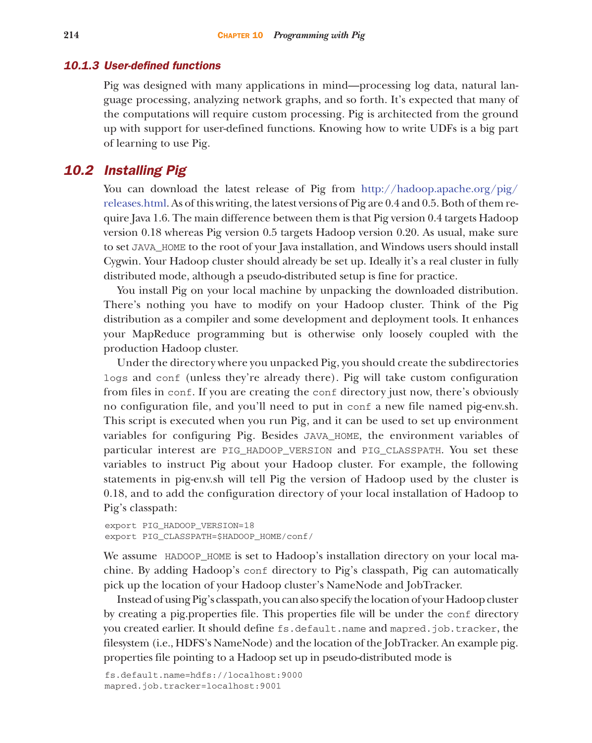#### *10.1.3 User-defined functions*

Pigwas designed with many applications in mind—processing log data, natural language processing, analyzing network graphs, and so forth. It's expected that many of the computations will require custom processing. Pig is architected from the ground up with support for user-defined functions. Knowing how to write UDFs is a big part of learning to use Pig.

## *10.2 Installing Pig*

You can download the latest release of Pig from [http://hadoop.apache.org/pig/](http://hadoop.apache.org/pig/releases.html) [releases.html.](http://hadoop.apache.org/pig/releases.html) As of this writing, the latest versions of Pig are 0.4 and 0.5. Both of them require Java 1.6. The main difference between them is that Pig version 0.4 targets Hadoop version 0.18 whereas Pig version 0.5 targets Hadoop version 0.20. As usual, make sure to set JAVA\_HOME to the root of your Java installation, and Windows users should install Cygwin. Your Hadoop cluster should already be set up. Ideally it's a real cluster in fully distributed mode, although a pseudo-distributed setup is fine for practice.

You install Pig on your local machine by unpacking the downloaded distribution. There's nothing you have to modify on your Hadoop cluster. Think of the Pig distribution as a compiler and some development and deployment tools. It enhances your MapReduce programming but is otherwise only loosely coupled with the production Hadoop cluster.

Under the directory where you unpacked Pig, you should create the subdirectories logs and conf (unless they're already there). Pig will take custom configuration from files in conf. If you are creating the conf directory just now, there's obviously no configuration file, and you'll need to put in conf a new file named pig-env.sh. This script is executed when you run Pig, and it can be used to set up environment variables for configuring Pig. Besides JAVA\_HOME, the environment variables of particular interest are PIG\_HADOOP\_VERSION and PIG\_CLASSPATH. You set these variables to instruct Pig about your Hadoop cluster. For example, the following statements in pig-env.sh will tell Pig the version of Hadoop used by the cluster is 0.18, and to add the configuration directory of your local installation of Hadoop to Pig's classpath:

```
export PIG_HADOOP_VERSION=18
export PIG_CLASSPATH=$HADOOP_HOME/conf/
```
We assume HADOOP\_HOME is set to Hadoop's installation directory on your local machine. By adding Hadoop's conf directory to Pig's classpath, Pig can automatically pick up the location of your Hadoop cluster's NameNodeand JobTracker .

Instead of using Pig's classpath, you can also specify the location of your Hadoop cluster by creating a pig.properties file . This properties file will be under the conf directory you created earlier. It should define fs.default.name and mapred.job.tracker, the filesystem (i.e., HDFS's NameNode) and the location of the JobTracker. An example pig. properties file pointing to a Hadoop set up in pseudo-distributed mode is

```
fs.default.name=hdfs://localhost:9000
mapred.job.tracker=localhost:9001
```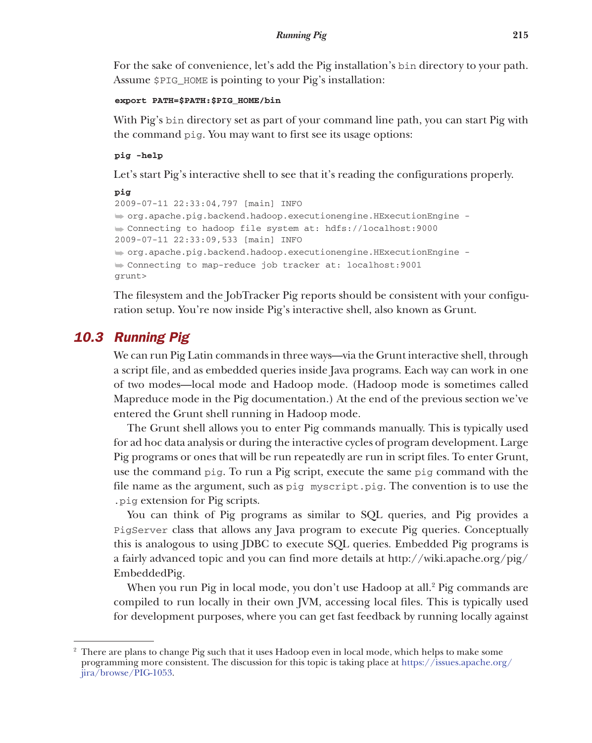For the sake of convenience, let's add the Pig installation's bin directory to your path. Assume \$PIG\_HOME is pointing to your Pig's installation:

#### **export PATH=\$PATH:\$PIG\_HOME/bin**

With Pig's bin directory set as part of your command line path, you can start Pig with the command pig. You may want to first see its usage options:

#### **pig -help**

Let's start Pig's interactive shell to see that it's reading the configurations properly.

```
pig
2009-07-11 22:33:04,797 [main] INFO
➥ org.apache.pig.backend.hadoop.executionengine.HExecutionEngine -
➥ Connecting to hadoop file system at: hdfs://localhost:9000
2009-07-11 22:33:09,533 [main] INFO
➥ org.apache.pig.backend.hadoop.executionengine.HExecutionEngine -
➥ Connecting to map-reduce job tracker at: localhost:9001
grunt>
```
The filesystem and the JobTracker Pig reports should be consistent with your configuration setup. You're now inside Pig's interactive shell, also known as Grunt.

# *10.3 Running Pig*

We can run Pig Latin commands in three ways—via the Grunt interactive shell, through a script file, and as embedded queries inside Java programs. Each way can work in one of two modes—local modeand Hadoop mode . (Hadoop mode is sometimes called Mapreduce mode in the Pig documentation.) At the end of the previous section we've entered the Grunt shell running in Hadoop mode.

The Grunt shell allows you to enter Pig commands manually. This is typically used for ad hoc data analysis or during the interactive cycles of program development. Large Pig programs or ones that will be run repeatedly are run in script files. To enter Grunt, use the command pig. To run a Pig script, execute the same pig command with the file name as the argument, such as pig myscript.pig. The convention is to use the .pig extension for Pig scripts.

You can think of Pig programs as similar to SQL queries , and Pig provides a PigServer class that allows any Java program to execute Pig queries. Conceptually this is analogous to using JDBC to execute SQL queries. Embedded Pig programs is a fairly advanced topic and you can find more details at [http://wiki.apache.org/pig/](http://wiki.apache.org/pig/EmbeddedPig) [EmbeddedPig.](http://wiki.apache.org/pig/EmbeddedPig)

When you run Pig in local mode, you don't use Hadoop at all.<sup>2</sup> Pig commands are compiled to run locally in their own JVM , accessing local files. This is typically used for development purposes, where you can get fast feedback by running locally against

<sup>2</sup> There are plans to change Pig such that it uses Hadoop even in local mode, which helps to make some programming more consistent. The discussion for this topic is taking place at [https://issues.apache.org/](https://issues.apache.org/jira/browse/PIG-1053.) [jira/browse/PIG-1053.](https://issues.apache.org/jira/browse/PIG-1053.)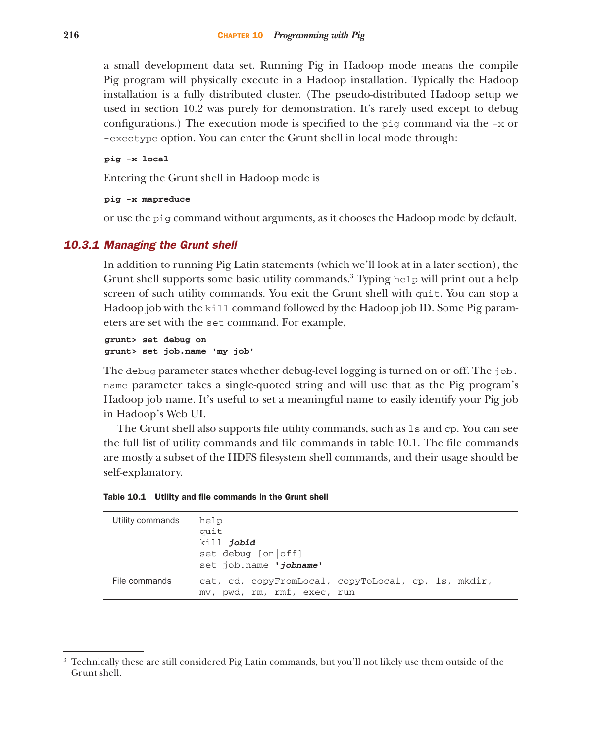a small development data set. Running Pig in Hadoop mode means the compile Pig program will physically execute in a Hadoop installation. Typically the Hadoop installation is a fully distributed cluster . (The pseudo-distributed Hadoop setup we used in section 10.2 was purely for demonstration. It's rarely used except to debug configurations.) The execution mode is specified to the pig command via the -x or -exectype option. You can enter the Grunt shell in local mode through:

**pig -x local**

Entering the Grunt shell in Hadoop mode is

**pig -x mapreduce**

or use the pig command without arguments, as it chooses the Hadoop mode by default.

#### **10.3.1 Managing the Grunt shell**

In addition to running Pig Latin statements (which we'll look at in a later section), the Grunt shell supports some basic utility commands.3 Typing help will print out a help screen of such utility commands. You exit the Grunt shell with quit. You can stop a Hadoop job with the kill command followed by the Hadoop job ID. Some Pig parameters are set with the set command . For example,

**grunt> set debug on grunt> set job.name 'my job'**

The debug parameter states whether debug-level logging is turned on or off. The job. name parameter takes a single-quoted string and will use that as the Pig program's Hadoop job name. It's useful to set a meaningful name to easily identify your Pig job in Hadoop's Web UI .

The Grunt shell also supports file utility commands, such as ls and cp. You can see the full list of utility commands and file commands in table 10.1. The file commands are mostly a subset of the HDFS filesystemshell commands, and their usage should be self-explanatory.

Table 10.1 Utility and file commands in the Grunt shell

| Utility commands | help<br>quit<br>kill <i>jobid</i><br>set debug [on off]<br>set job.name ' <i>jobname</i> ' |
|------------------|--------------------------------------------------------------------------------------------|
| File commands    | cat, cd, copyFromLocal, copyToLocal, cp, ls, mkdir,<br>mv, pwd, rm, rmf, exec, run         |

<sup>3</sup> Technically these are still considered Pig Latin commands, but you'll not likely use them outside of the Grunt shell.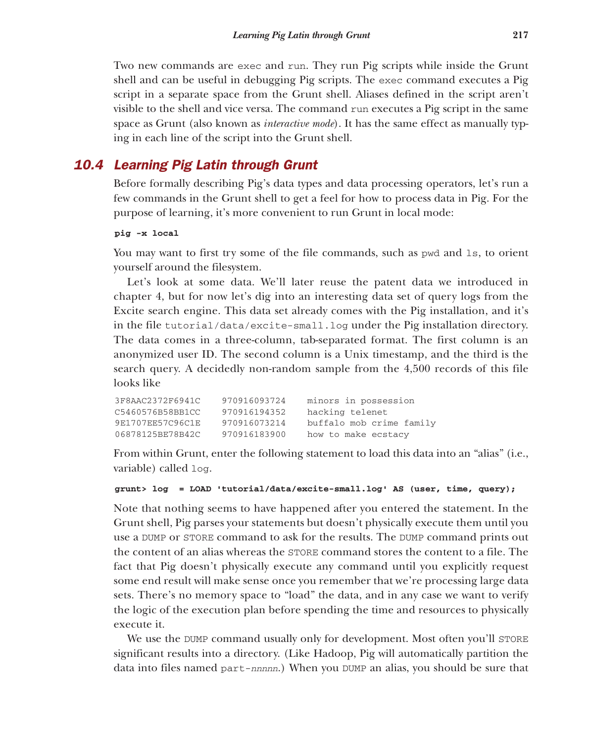Two new commands are exec and run. They run Pig scripts while inside the Grunt shell and can be useful in debugging Pig scripts. The exec command executes a Pig script in a separate space from the Grunt shell. Aliases defined in the script aren't visible to the shell and vice versa. The command run executes a Pig script in the same space as Grunt (also known as *interactive mode*). It has the same effect as manually typing in each line of the script into the Grunt shell.

# *10.4 Learning Pig Latin through Grunt*

Before formally describing Pig's data types and data processing operators, let's run a few commands in the Grunt shell to get a feel for how to process data in Pig. For the purpose of learning, it's more convenient to run Grunt in local mode:

```
pig -x local
```
You may want to first try some of the file commands, such as pwd and 1s, to orient yourself around the filesystem.

Let's look at some data. We'll later reuse the patent data we introduced in chapter 4, but for now let's dig into an interesting data set of query logs from the Excite search engine. This data set already comes with the Pig installation, and it's in the file tutorial/data/excite-small.log under the Pig installation directory. The data comes in a three-column, tab-separated format. The first column is an anonymized user ID. The second column is a Unix timestamp, and the third is the search query. A decidedly non-random sample from the 4,500 records of this file looks like

| 3F8AAC2372F6941C | 970916093724 | minors in possession     |
|------------------|--------------|--------------------------|
| C5460576B58BB1CC | 970916194352 | hacking telenet          |
| 9E1707EE57C96C1E | 970916073214 | buffalo mob crime family |
| 06878125BE78B42C | 970916183900 | how to make ecstacy      |

From within Grunt, enter the following statement to load this data into an "alias" (i.e., variable) called log.

```
grunt> log = LOAD 'tutorial/data/excite-small.log' AS (user, time, query);
```
Note that nothing seems to have happened after you entered the statement. In the Grunt shell, Pig parses your statements but doesn't physically execute them until you use a DUMP or STORE command to ask for the results. The DUMP command prints out the content of an alias whereas the STORE command stores the content to a file. The fact that Pig doesn't physically execute any command until you explicitly request some end result will make sense once you remember that we're processing large data sets. There's no memory space to "load" the data, and in any case we want to verify the logic of the execution plan before spending the time and resources to physically execute it.

We use the DUMP command usually only for development. Most often you'll STORE significant results into a directory. (Like Hadoop, Pig will automatically partition the data into files named part-*nnnnn*.) When you DUMP an alias, you should be sure that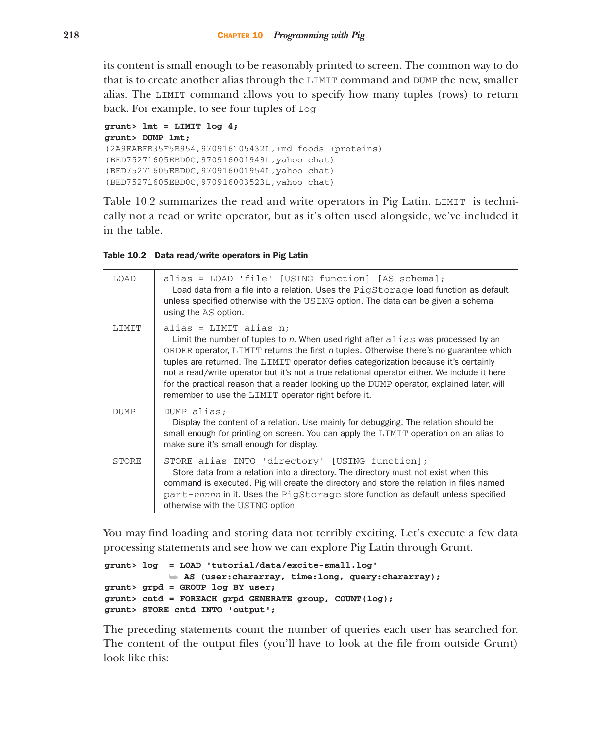its content is small enough to be reasonably printed to screen. The common way to do that is to create another alias through the LIMIT commandand DUMP the new, smaller alias. The LIMIT command allows you to specify how many tuples (rows) to return back. For example, to see four tuples of log

```
grunt> lmt = LIMIT log 4;
grunt> DUMP lmt;
(2A9EABFB35F5B954,970916105432L,+md foods +proteins)
(BED75271605EBD0C,970916001949L,yahoo chat)
(BED75271605EBD0C,970916001954L,yahoo chat)
(BED75271605EBD0C,970916003523L,yahoo chat)
```
Table 10.2 summarizes the read and write operators in Pig Latin. LIMIT is technically not a read or write operator, but as it's often used alongside, we've included it in the table.

Table 10.2 Data read/write operators in Pig Latin

| <b>TIOAD</b>  | alias = LOAD 'file' [USING function] [AS schema];<br>Load data from a file into a relation. Uses the $PigStorage$ load function as default<br>unless specified otherwise with the USING option. The data can be given a schema<br>using the AS option.                                                                                                                                                                                                                                                                                                         |
|---------------|----------------------------------------------------------------------------------------------------------------------------------------------------------------------------------------------------------------------------------------------------------------------------------------------------------------------------------------------------------------------------------------------------------------------------------------------------------------------------------------------------------------------------------------------------------------|
| <b>T.TMTT</b> | alias = LIMIT alias $n$ ;<br>Limit the number of tuples to n. When used right after $\alpha$ lias was processed by an<br>ORDER operator, $LIMIT$ returns the first n tuples. Otherwise there's no guarantee which<br>tuples are returned. The LIMIT operator defies categorization because it's certainly<br>not a read/write operator but it's not a true relational operator either. We include it here<br>for the practical reason that a reader looking up the DUMP operator, explained later, will<br>remember to use the LIMIT operator right before it. |
| <b>DUMP</b>   | DUMP alias;<br>Display the content of a relation. Use mainly for debugging. The relation should be<br>small enough for printing on screen. You can apply the LIMIT operation on an alias to<br>make sure it's small enough for display.                                                                                                                                                                                                                                                                                                                        |
| STORE.        | STORE alias INTO 'directory' [USING function];<br>Store data from a relation into a directory. The directory must not exist when this<br>command is executed. Pig will create the directory and store the relation in files named<br>part-numn in it. Uses the PigStorage store function as default unless specified<br>otherwise with the USING option.                                                                                                                                                                                                       |

You may find loading and storing data not terribly exciting. Let's execute a few data processing statements and see how we can explore Pig Latin through Grunt.

```
grunt> log = LOAD 'tutorial/data/excite-small.log' 
             ➥ AS (user:chararray, time:long, query:chararray);
grunt> grpd = GROUP log BY user;
grunt> cntd = FOREACH grpd GENERATE group, COUNT(log);
grunt> STORE cntd INTO 'output';
```
The preceding statements count the number of queries each user has searched for. The content of the output files (you'll have to look at the file from outside Grunt) look like this: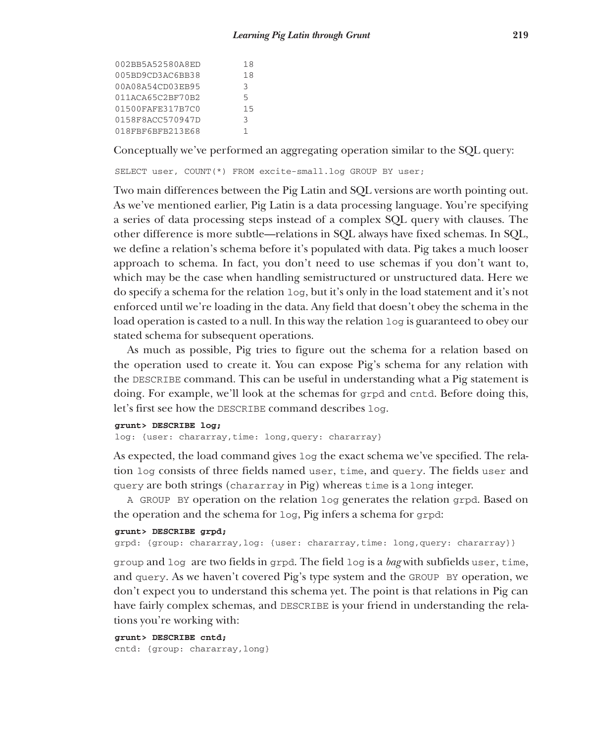| 002BB5A52580A8ED | 18 |
|------------------|----|
| 005BD9CD3AC6BB38 | 18 |
| 00A08A54CD03EB95 | Κ  |
| 011ACA65C2BF70B2 | 5  |
| 01500FAFE317B7C0 | 15 |
| 0158F8ACC570947D | 3  |
| 018FBF6BFB213E68 |    |

Conceptually we've performed an aggregating operation similar to the SQL query:

SELECT user, COUNT(\*) FROM excite-small.log GROUP BY user;

Two main differences between the Pig Latin and SQL versions are worth pointing out. As we've mentioned earlier, Pig Latin is a data processing language. You're specifying a series of data processing steps instead of a complex SQL query with clauses. The other difference is more subtle—relations in SQL always have fixed schemas . In SQL, we define a relation's schema before it's populated with data. Pig takes a much looser approach to schema. In fact, you don't need to use schemas if you don't want to, which may be the case when handling semistructured or unstructured data. Here we do specify a schemafor the relation log, but it's only in the load statement and it's not enforced until we're loading in the data. Any field that doesn't obey the schema in the load operation is casted to a null. In this way the relation log is guaranteed to obey our stated schema for subsequent operations.

As much as possible, Pig tries to figure out the schema for a relation based on the operation used to create it. You can expose Pig's schema for any relation with the DESCRIBE command. This can be useful in understanding what a Pig statement is doing. For example, we'll look at the schemas for grpd and cntd. Before doing this, let's first see how the DESCRIBE command describes log.

```
grunt> DESCRIBE log;
```
log: {user: chararray, time: long, query: chararray}

As expected, the load command gives log the exact schema we've specified. The relation log consists of three fields named user, time, and query. The fields user and query are both strings (chararray in Pig) whereas time is a long integer.

A GROUP BY operation on the relation log generates the relation grpd. Based on the operation and the schema for log, Pig infers a schema for grpd:

```
grunt> DESCRIBE grpd;
```
grpd: {group: chararray,log: {user: chararray,time: long,query: chararray}}

group and log are two fields in grpd. The field log is a *bag* with subfields user, time, and query. As we haven't covered Pig's type system and the GROUP BY operation, we don't expect you to understand this schema yet. The point is that relations in Pig can have fairly complex schemas, and DESCRIBE is your friend in understanding the relations you're working with:

**grunt> DESCRIBE cntd;** cntd: {group: chararray,long}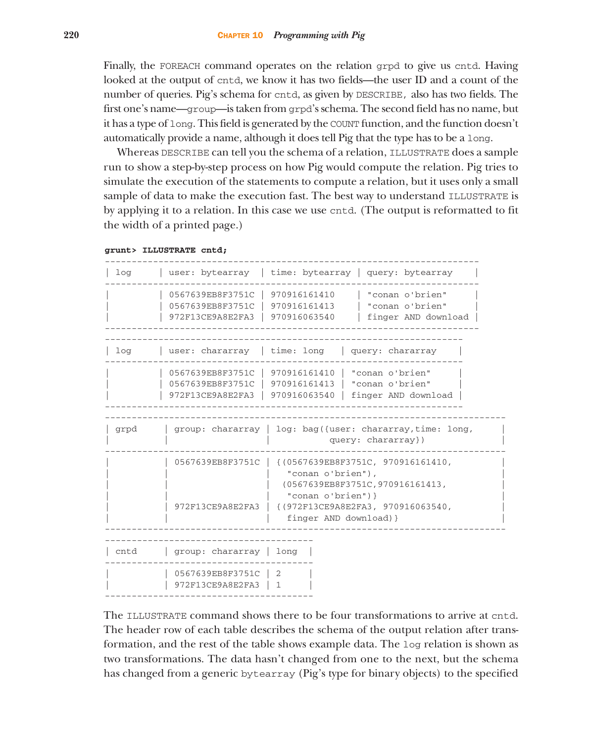Finally, the FOREACH command operates on the relation grpd to give us cntd. Having looked at the output of cntd, we know it has two fields—the user ID and a count of the number of queries. Pig's schema for cntd, as given by DESCRIBE, also has two fields. The first one's name—group—is taken from grpd's schema. The second field has no name, but it has a type of long. This field is generated by the COUNT function , and the function doesn't automatically provide a name, although it does tell Pig that the type has to be a long.

Whereas DESCRIBE can tell you the schema of a relation, ILLUSTRATE does a sample run to show a step-by-step process on how Pig would compute the relation. Pig tries to simulate the execution of the statements to compute a relation, but it uses only a small sample of data to make the execution fast. The best way to understand ILLUSTRATE is by applying it to a relation. In this case we use cntd. (The output is reformatted to fit the width of a printed page.)

```
grunt> ILLUSTRATE cntd;
```

| user: bytearray                                          | time: bytearray   query: bytearray                                                                                                                                             |
|----------------------------------------------------------|--------------------------------------------------------------------------------------------------------------------------------------------------------------------------------|
| 0567639EB8F3751C<br>0567639EB8F3751C<br>972F13CE9A8E2FA3 | 970916161410<br>"conan o'brien"<br>970916161413<br>"conan o'brien"<br>970916063540<br>finger AND download                                                                      |
| user: chararray                                          | time: long<br>query: chararray                                                                                                                                                 |
| 0567639EB8F3751C<br>0567639EB8F3751C<br>972F13CE9A8E2FA3 | 970916161410<br>"conan o'brien"<br>"conan o'brien"<br>970916161413<br>970916063540<br>finger AND download                                                                      |
|                                                          | group: chararray   $log:$ bag({user: chararray, time: long,<br>query: chararray})                                                                                              |
| 0567639EB8F3751C<br>972F13CE9A8E2FA3                     | (0567639EB8F3751C, 970916161410,<br>"conan o'brien"),<br>(0567639EB8F3751C, 970916161413,<br>"conan o'brien") }<br>{(972F13CE9A8E2FA3, 970916063540,<br>finger AND download) } |
| group: chararray   long                                  |                                                                                                                                                                                |
| 0567639EB8F3751C<br>972F13CE9A8E2FA3                     | 2                                                                                                                                                                              |
|                                                          |                                                                                                                                                                                |

The ILLUSTRATE command shows there to be four transformations to arrive at cntd. The header row of each table describes the schema of the output relation after transformation, and the rest of the table shows example data. The log relation is shown as two transformations. The data hasn't changed from one to the next, but the schema has changed from a generic bytearray (Pig's type for binary objects) to the specified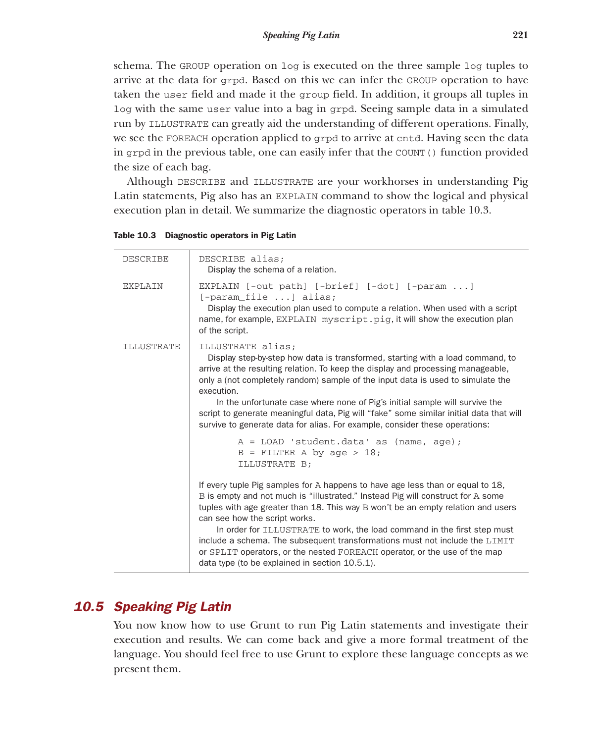schema. The GROUP operation on log is executed on the three sample log tuples to arrive at the data for grpd. Based on this we can infer the GROUP operation to have taken the user field and made it the group field. In addition, it groups all tuples in log with the same user value into a bag in grpd. Seeing sample data in a simulated run by ILLUSTRATE can greatly aid the understanding of different operations. Finally, we see the FOREACH operation applied to grpd to arrive at cntd. Having seen the data in grpd in the previous table, one can easily infer that the COUNT() function provided the size of each bag.

Although DESCRIBE and ILLUSTRATE are your workhorses in understanding Pig Latin statements, Pig also has an EXPLAIN command to show the logical and physical execution plan in detail. We summarize the diagnostic operators in table 10.3.

Table 10.3 Diagnostic operators in Pig Latin

| DESCRIBE       | DESCRIBE alias;<br>Display the schema of a relation.                                                                                                                                                                                                                                                                                                                                                                                                                                                                                              |  |
|----------------|---------------------------------------------------------------------------------------------------------------------------------------------------------------------------------------------------------------------------------------------------------------------------------------------------------------------------------------------------------------------------------------------------------------------------------------------------------------------------------------------------------------------------------------------------|--|
| <b>EXPLAIN</b> | EXPLAIN [-out path] [-brief] [-dot] [-param ]<br>[-param_file ] alias;<br>Display the execution plan used to compute a relation. When used with a script<br>name, for example, EXPLAIN myscript.pig, it will show the execution plan<br>of the script.                                                                                                                                                                                                                                                                                            |  |
| ILLUSTRATE     | ILLUSTRATE alias;<br>Display step-by-step how data is transformed, starting with a load command, to<br>arrive at the resulting relation. To keep the display and processing manageable,<br>only a (not completely random) sample of the input data is used to simulate the<br>execution.<br>In the unfortunate case where none of Pig's initial sample will survive the<br>script to generate meaningful data, Pig will "fake" some similar initial data that will<br>survive to generate data for alias. For example, consider these operations: |  |
|                | $A =$ LOAD 'student.data' as (name, age);<br>$B =$ FILTER A by age > 18;<br>ILLUSTRATE B;                                                                                                                                                                                                                                                                                                                                                                                                                                                         |  |
|                | If every tuple Pig samples for A happens to have age less than or equal to 18,<br>B is empty and not much is "illustrated." Instead Pig will construct for A some<br>tuples with age greater than 18. This way B won't be an empty relation and users<br>can see how the script works.<br>In order for ILLUSTRATE to work, the load command in the first step must                                                                                                                                                                                |  |
|                | include a schema. The subsequent transformations must not include the LIMIT<br>or SPLIT operators, or the nested FOREACH operator, or the use of the map<br>data type (to be explained in section 10.5.1).                                                                                                                                                                                                                                                                                                                                        |  |

# *10.5 Speaking Pig Latin*

You now know how to use Grunt to run Pig Latin statements and investigate their execution and results. We can come back and give a more formal treatment of the language. You should feel free to use Grunt to explore these language concepts as we present them.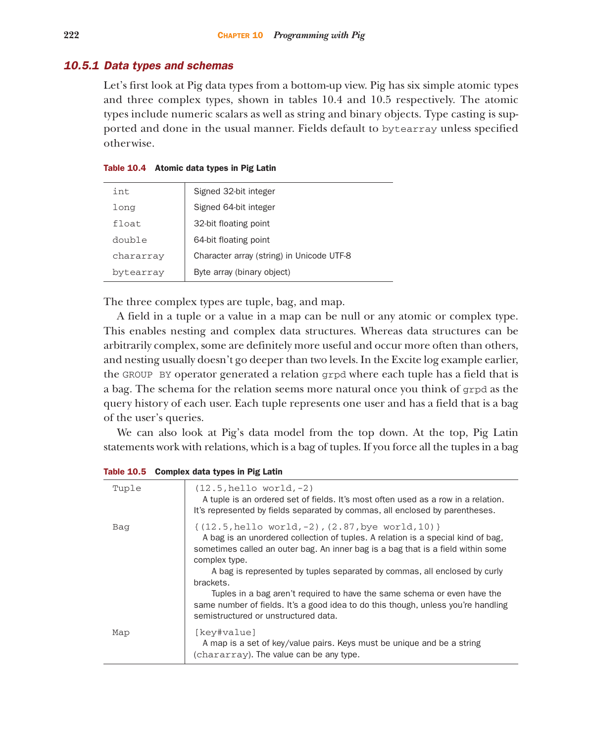#### *10.5.1 Data types and schemas*

Let's first look at Pig data types from a bottom-up view. Pig has six simple atomic types and three complex types, shown in tables 10.4 and 10.5 respectively. The atomic types include numeric scalars as well as string and binary objects. Type casting is supported and done in the usual manner. Fields default to bytearray unless specified otherwise.

#### Table 10.4 Atomic data types in Pig Latin

| int.      | Signed 32-bit integer                     |
|-----------|-------------------------------------------|
| long      | Signed 64-bit integer                     |
| float.    | 32-bit floating point                     |
| double    | 64-bit floating point                     |
| chararray | Character array (string) in Unicode UTF-8 |
| bytearray | Byte array (binary object)                |
|           |                                           |

The three complex types are tuple, bag, and map.

A field in a tuple or a value in a map can be null or any atomic or complex type. This enables nesting and complex data structures. Whereas data structures can be arbitrarily complex, some are definitely more useful and occur more often than others, and nesting usually doesn't go deeper than two levels. In the Excite log example earlier, the GROUP BY operator generated a relation grpd where each tuple has a field that is a bag. The schema for the relation seems more natural once you think of grpd as the query history of each user. Each tuple represents one user and has a field that is a bag of the user's queries.

We can also look at Pig's data model from the top down. At the top, Pig Latin statements work with relations, which is a bag of tuples. If you force all the tuples in a bag

Table 10.5 Complex data types in Pig Latin

| Tuple | $(12.5, \text{hello world}, -2)$<br>A tuple is an ordered set of fields. It's most often used as a row in a relation.<br>It's represented by fields separated by commas, all enclosed by parentheses.                                                                                                                                                                                                                                                                                                                                                           |
|-------|-----------------------------------------------------------------------------------------------------------------------------------------------------------------------------------------------------------------------------------------------------------------------------------------------------------------------------------------------------------------------------------------------------------------------------------------------------------------------------------------------------------------------------------------------------------------|
| Bag   | $\{(12.5, \text{hello world}, -2), (2.87, \text{bye world}, 10)\}\$<br>A bag is an unordered collection of tuples. A relation is a special kind of bag,<br>sometimes called an outer bag. An inner bag is a bag that is a field within some<br>complex type.<br>A bag is represented by tuples separated by commas, all enclosed by curly<br>brackets.<br>Tuples in a bag aren't required to have the same schema or even have the<br>same number of fields. It's a good idea to do this though, unless you're handling<br>semistructured or unstructured data. |
| Map   | [key#value]<br>A map is a set of key/value pairs. Keys must be unique and be a string<br>(chararray). The value can be any type.                                                                                                                                                                                                                                                                                                                                                                                                                                |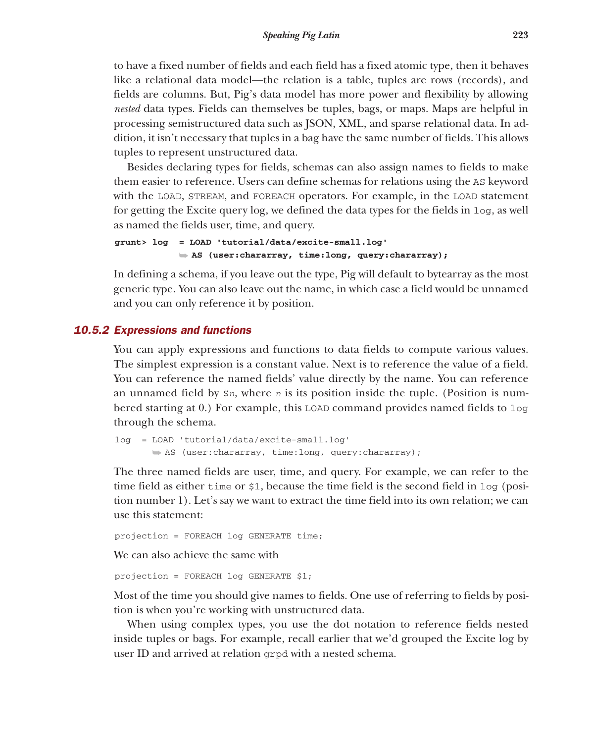to have a fixed number of fields and each field has a fixed atomic type, then it behaves like a relational data model—the relation is a table, tuples are rows (records), and fields are columns. But, Pig's data model has more power and flexibility by allowing *nested* data types. Fields can themselves be tuples, bags, or maps. Maps are helpful in processing semistructured datasuch as JSON, XML, and sparse relational data. In addition, it isn't necessary that tuples in a bag have the same number of fields. This allows tuples to represent unstructured data.

Besides declaring types for fields, schemas can also assign names to fields to make them easier to reference. Users can define schemas for relations using the AS keyword with the LOAD, STREAM, and FOREACH operators. For example, in the LOAD statement for getting the Excite query log, we defined the data types for the fields in log, as well as named the fields user, time, and query.

```
grunt> log = LOAD 'tutorial/data/excite-small.log' 
             ➥ AS (user:chararray, time:long, query:chararray);
```
In defining a schema, if you leave out the type, Pig will default to bytearray as the most generic type. You can also leave out the name, in which case a field would be unnamed and you can only reference it by position.

#### *10.5.2 Expressions and functions*

You can apply expressions and functions to data fields to compute various values. The simplest expression is a constant value . Next is to reference the value of a field . You can reference the named fields' value directly by the name. You can reference an unnamed field by \$*n*, where *n* is its position inside the tuple. (Position is numbered starting at 0.) For example, this LOAD command provides named fields to log through the schema.

```
log = LOAD 'tutorial/data/excite-small.log' 
        ➥ AS (user:chararray, time:long, query:chararray);
```
The three named fields are user, time, and query. For example, we can refer to the time field as either time or \$1, because the time field is the second field in log (position number 1). Let's say we want to extract the time field into its own relation; we can use this statement:

```
projection = FOREACH log GENERATE time;
```
We can also achieve the same with

```
projection = FOREACH log GENERATE $1;
```
Most of the time you should give names to fields. One use of referring to fields by position is when you're working with unstructured data.

When using complex types, you use the dot notation to reference fields nested inside tuples or bags. For example, recall earlier that we'd grouped the Excite log by user ID and arrived at relation grpd with a nested schema.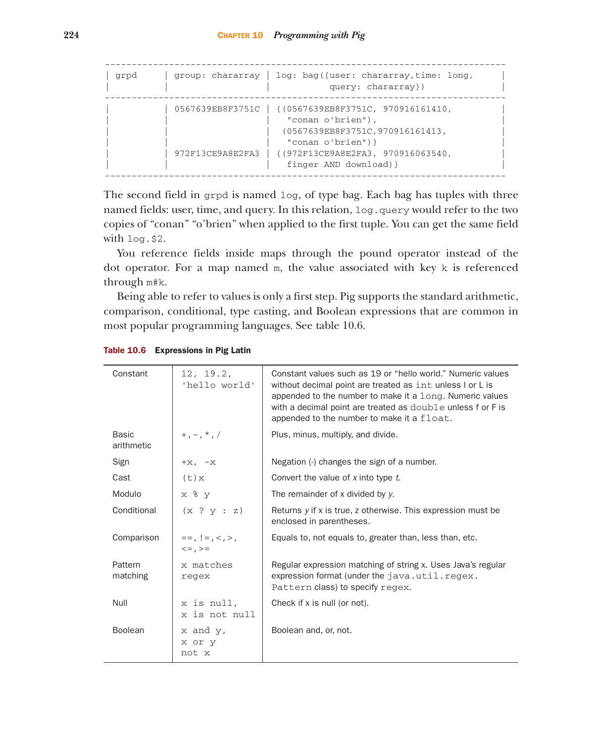| grpd | group: chararray   $log:$ bag({user: chararray, time: long,<br>query: chararray})                                                                                                                                       |
|------|-------------------------------------------------------------------------------------------------------------------------------------------------------------------------------------------------------------------------|
|      | 0567639EB8F3751C<br>{(0567639EB8F3751C, 970916161410,<br>"conan o'brien"),<br>(0567639EB8F3751C, 970916161413,<br>"conan o'brien") }<br>{(972F13CE9A8E2FA3, 970916063540,<br>972F13CE9A8E2FA3<br>finger AND download) } |

The second field in grpd is named log, of type bag. Each bag has tuples with three named fields: user, time, and query. In this relation, log.query would refer to the two copies of "conan" "o'brien" when applied to the first tuple. You can get the same field with log.\$2.

You reference fields inside maps through the pound operator instead of the dot operator. For a map named m, the value associated with key  $k$  is referenced through m#k.

Being able to refer to values is only a first step. Pig supports the standard arithmetic, comparison, conditional, type casting , and Boolean expressionsthat are common in most popular programming languages. See table 10.6.

| Constant                   | 12, 19.2,<br>'hello world'                     | Constant values such as 19 or "hello world." Numeric values<br>without decimal point are treated as int unless I or L is<br>appended to the number to make it a long. Numeric values<br>with a decimal point are treated as double unless f or F is<br>appended to the number to make it a float. |
|----------------------------|------------------------------------------------|---------------------------------------------------------------------------------------------------------------------------------------------------------------------------------------------------------------------------------------------------------------------------------------------------|
| <b>Basic</b><br>arithmetic | $+$ , $-$ , $*$ , /                            | Plus, minus, multiply, and divide.                                                                                                                                                                                                                                                                |
| Sign                       | $+X$ , $-X$                                    | Negation (-) changes the sign of a number.                                                                                                                                                                                                                                                        |
| Cast                       | $(t)$ x                                        | Convert the value of x into type t.                                                                                                                                                                                                                                                               |
| Modulo                     | x % y                                          | The remainder of x divided by y.                                                                                                                                                                                                                                                                  |
| Conditional                | (x ? y : z)                                    | Returns y if x is true, z otherwise. This expression must be<br>enclosed in parentheses.                                                                                                                                                                                                          |
| Comparison                 | $==$ , $!=$ , $\lt$ , $>$ ,<br>$\lt =$ , $> =$ | Equals to, not equals to, greater than, less than, etc.                                                                                                                                                                                                                                           |
| Pattern<br>matching        | x matches<br>regex                             | Regular expression matching of string x. Uses Java's regular<br>expression format (under the java.util.regex.<br>Pattern class) to specify regex.                                                                                                                                                 |
| Null                       | x is null,<br>x is not null                    | Check if x is null (or not).                                                                                                                                                                                                                                                                      |
| <b>Boolean</b>             | x and y,<br>x or y<br>not x                    | Boolean and, or, not.                                                                                                                                                                                                                                                                             |

|  | Table 10.6 Expressions in Pig Latin |  |
|--|-------------------------------------|--|
|--|-------------------------------------|--|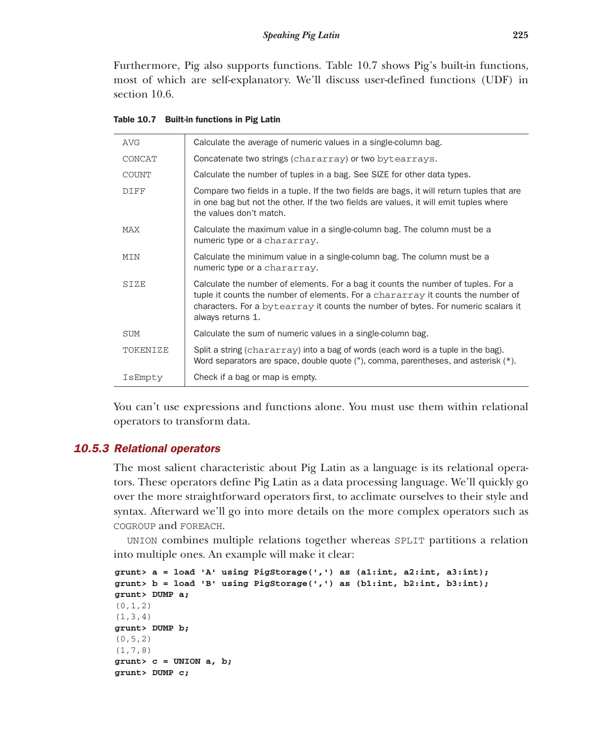Furthermore, Pig also supports functions. Table 10.7 shows Pig's built-in functions, most of which are self-explanatory. We'll discuss user-defined functions (UDF) in section 10.6.

| <b>Table 10.7</b> |  |  | <b>Built-in functions in Pig Latin</b> |
|-------------------|--|--|----------------------------------------|
|-------------------|--|--|----------------------------------------|

| AVG          | Calculate the average of numeric values in a single-column bag.                                                                                                                                                                                                                |  |
|--------------|--------------------------------------------------------------------------------------------------------------------------------------------------------------------------------------------------------------------------------------------------------------------------------|--|
| CONCAT       | Concatenate two strings (chararray) or two bytearrays.                                                                                                                                                                                                                         |  |
| <b>COUNT</b> | Calculate the number of tuples in a bag. See SIZE for other data types.                                                                                                                                                                                                        |  |
| DIFF         | Compare two fields in a tuple. If the two fields are bags, it will return tuples that are<br>in one bag but not the other. If the two fields are values, it will emit tuples where<br>the values don't match.                                                                  |  |
| MAX          | Calculate the maximum value in a single-column bag. The column must be a<br>numeric type or a chararray.                                                                                                                                                                       |  |
| MIN          | Calculate the minimum value in a single-column bag. The column must be a<br>numeric type or a chararray.                                                                                                                                                                       |  |
| <b>STZE</b>  | Calculate the number of elements. For a bag it counts the number of tuples. For a<br>tuple it counts the number of elements. For a chararray it counts the number of<br>characters. For a bytearray it counts the number of bytes. For numeric scalars it<br>always returns 1. |  |
| <b>SUM</b>   | Calculate the sum of numeric values in a single-column bag.                                                                                                                                                                                                                    |  |
| TOKENIZE     | Split a string (chararray) into a bag of words (each word is a tuple in the bag).<br>Word separators are space, double quote $(")$ , comma, parentheses, and asterisk $(*)$ .                                                                                                  |  |
| IsEmpty      | Check if a bag or map is empty.                                                                                                                                                                                                                                                |  |

You can't use expressions and functions alone. You must use them within relational operators to transform data.

## *10.5.3 Relational operators*

The most salient characteristic about Pig Latin as a language is its relational operators. These operators define Pig Latin as a data processing language. We'll quickly go over the more straightforward operators first, to acclimate ourselves to their style and syntax. Afterward we'll go into more details on the more complex operators such as COGROUP and FOREACH.

UNION combines multiple relations together whereas SPLIT partitions a relation into multiple ones. An example will make it clear:

```
grunt> a = load 'A' using PigStorage(',') as (a1:int, a2:int, a3:int);
grunt> b = load 'B' using PigStorage(',') as (b1:int, b2:int, b3:int);
grunt> DUMP a;
(0,1,2)
(1,3,4)
grunt> DUMP b;
(0,5,2)
(1,7,8)
grunt> c = UNION a, b;
grunt> DUMP c;
```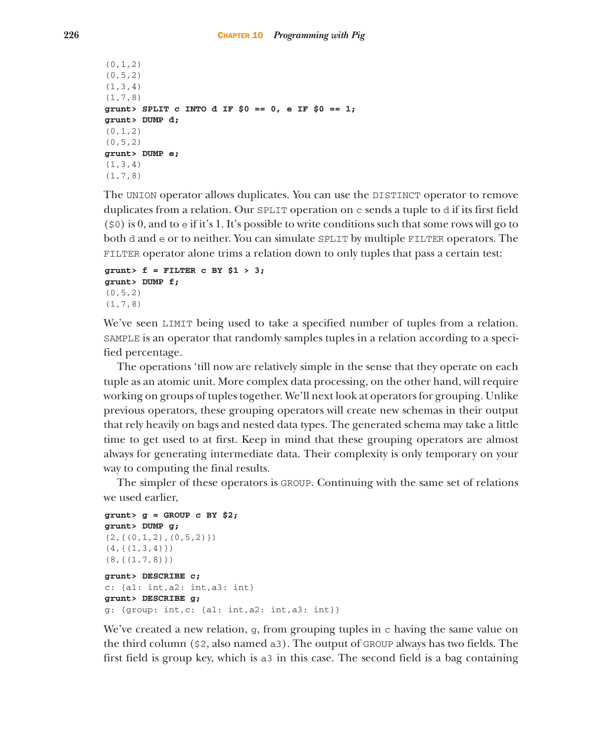```
(0,1,2)
(0,5,2)
(1,3,4)
(1,7,8)
grunt> SPLIT c INTO d IF $0 == 0, e IF $0 == 1; 
grunt> DUMP d;
(0,1,2)
(0,5,2)
grunt> DUMP e;
(1,3,4)
(1,7,8)
```
The UNION operator allows duplicates. You can use the DISTINCT operator to remove duplicates from a relation. Our SPLIT operation on c sends a tuple to d if its first field (\$0) is 0, and to e if it's 1. It's possible to write conditions such that some rows will go to both d and e or to neither. You can simulate SPLIT by multiple FILTER operators. The FILTER operator alone trims a relation down to only tuples that pass a certain test:

```
grunt> f = FILTER c BY $1 > 3;
grunt> DUMP f;
(0,5,2)
(1,7,8)
```
We've seen LIMIT being used to take a specified number of tuples from a relation. SAMPLE is an operator that randomly samples tuples in a relation according to a specified percentage.

The operations 'till now are relatively simple in the sense that they operate on each tuple as an atomic unit. More complex data processing, on the other hand, will require working on groups of tuples together. We'll next look at operators for grouping. Unlike previous operators, these grouping operatorswill create new schemas in their output that rely heavily on bagsand nested data types. The generated schema may take a little time to get used to at first. Keep in mind that these grouping operators are almost always for generating intermediate data. Their complexity is only temporary on your way to computing the final results.

The simpler of these operators is GROUP. Continuing with the same set of relations we used earlier,

```
grunt> g = GROUP c BY $2;
grunt> DUMP g;
(2,\{(0,1,2),(0,5,2)\})(4, {(1,3,4)}(8, {(1, 7, 8)}grunt> DESCRIBE c;
c: {a1: int,a2: int,a3: int}
grunt> DESCRIBE g;
g: {group: int,c: {a1: int,a2: int,a3: int}}
```
We've created a new relation, g, from grouping tuples in  $\sigma$  having the same value on the third column (\$2, also named a3). The output of GROUP always has two fields. The first field is group key, which is a3 in this case. The second field is a bag containing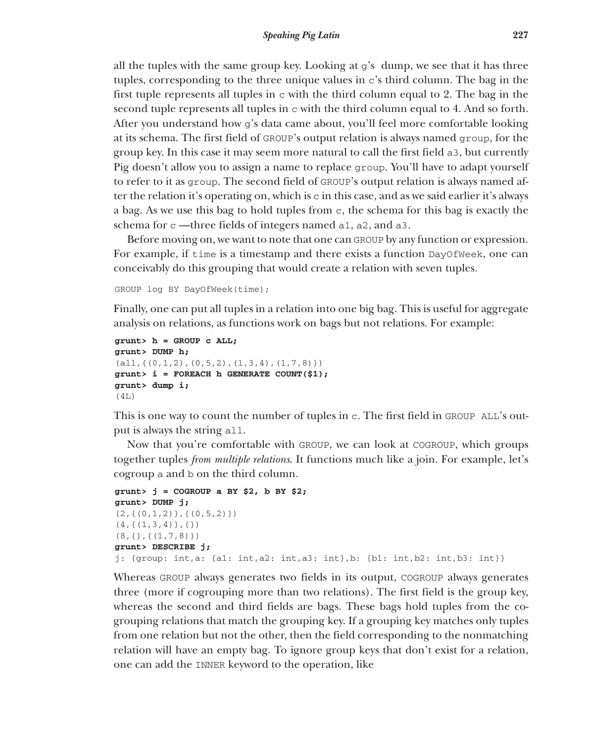all the tuples with the same group key. Looking at  $g$ 's dump, we see that it has three tuples, corresponding to the three unique values in c's third column. The bag in the first tuple represents all tuples in  $\sigma$  with the third column equal to 2. The bag in the second tuple represents all tuples in c with the third column equal to 4. And so forth. After you understand how g's data came about, you'll feel more comfortable looking at its schema. The first field of GROUP's output relation is always named group, for the group key. In this case it may seem more natural to call the first field a3, but currently Pig doesn't allow you to assign a name to replace group. You'll have to adapt yourself to refer to it as group. The second field of GROUP's output relation is always named after the relation it's operating on, which is c in this case, and as we said earlier it's always a bag. As we use this bag to hold tuples from c, the schema for this bag is exactly the schema for c —three fields of integers named a1, a2, and a3.

Before moving on, we want to note that one can GROUP by any function or expression. For example, if time is a timestamp and there exists a function DayOfWeek , one can conceivably do this grouping that would create a relation with seven tuples.

GROUP log BY DayOfWeek(time);

Finally, one can put all tuples in a relation into one big bag. This is useful for aggregate analysis on relations, as functions work on bags but not relations. For example:

```
grunt> h = GROUP c ALL;
grunt> DUMP h;
(d1, {(0,1,2), (0,5,2), (1,3,4), (1,7,8)})grunt> i = FOREACH h GENERATE COUNT($1);
grunt> dump i;
(4L)
```
This is one way to count the number of tuples in c. The first field in GROUP ALL's output is always the string all.

Now that you're comfortable with GROUP, we can look at COGROUP, which groups together tuples *from multiple relations* . It functions much like a join. For example, let's cogroup a and b on the third column.

```
grunt> j = COGROUP a BY $2, b BY $2;
grunt> DUMP j;
(2, {(0,1,2)}, {(0,5,2)}(4, \{ (1, 3, 4) \}, \{\})(8, {\{ }, {\{ }, {\{ }}(1,7,8) \})grunt> DESCRIBE j;
j: {group: int,a: {a1: int,a2: int,a3: int},b: {b1: int,b2: int,b3: int}}
```
Whereas GROUP always generates two fields in its output, COGROUP always generates three (more if cogrouping more than two relations). The first field is the group key, whereas the second and third fields are bags. These bags hold tuples from the cogrouping relations that match the grouping key. If a grouping key matches only tuples from one relation but not the other, then the field corresponding to the nonmatching relation will have an empty bag. To ignore group keys that don't exist for a relation, one can add the INNER keyword to the operation, like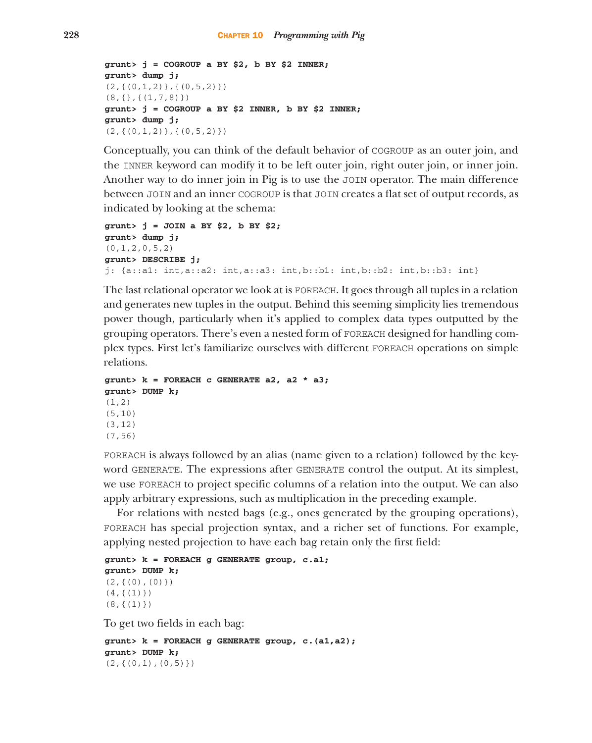```
grunt> j = COGROUP a BY $2, b BY $2 INNER;
grunt> dump j;
(2, {(0,1,2)}, {(0,5,2)}(8,{},{(1,7,8)})
grunt> j = COGROUP a BY $2 INNER, b BY $2 INNER;
grunt> dump j;
(2,\{(0,1,2)\},\{(0,5,2)\})
```
Conceptually, you can think of the default behavior of COGROUP as an outer join, and the INNER keyword can modify it to be left outer join, right outer join, or inner join. Another way to do inner join in Pig is to use the JOIN operator. The main difference between JOIN and an inner COGROUP is that JOIN creates a flat set of output records, as indicated by looking at the schema:

```
grunt> j = JOIN a BY $2, b BY $2;
grunt> dump j;
(0,1,2,0,5,2)
grunt> DESCRIBE j;
j: {a::a1: int,a::a2: int,a::a3: int,b::b1: int,b::b2: int,b::b3: int}
```
The last relational operator we look at is FOREACH. It goes through all tuples in a relation and generates new tuples in the output. Behind this seeming simplicity lies tremendous power though, particularly when it's applied to complex data types outputted by the grouping operators. There's even a nested form of FOREACH designed for handling complex types. First let's familiarize ourselves with different FOREACH operations on simple relations.

```
grunt> k = FOREACH c GENERATE a2, a2 * a3;
grunt> DUMP k;
(1,2)
(5,10)
(3,12)
(7,56)
```
FOREACH is always followed by an alias (name given to a relation) followed by the keyword GENERATE. The expressions after GENERATE control the output. At its simplest, we use FOREACH to project specific columns of a relation into the output. We can also apply arbitrary expressions, such as multiplication in the preceding example.

For relations with nested bags (e.g., ones generated by the grouping operations), FOREACH has special projection syntax, and a richer set of functions. For example, applying nested projection to have each bag retain only the first field:

```
grunt> k = FOREACH g GENERATE group, c.a1;
grunt> DUMP k;
(2, {(0), (0)}(4,{(1)})
(8, {(1)}
```
To get two fields in each bag:

```
grunt> k = FOREACH g GENERATE group, c.(a1,a2);
grunt> DUMP k;
(2, {(0,1), (0,5)}
```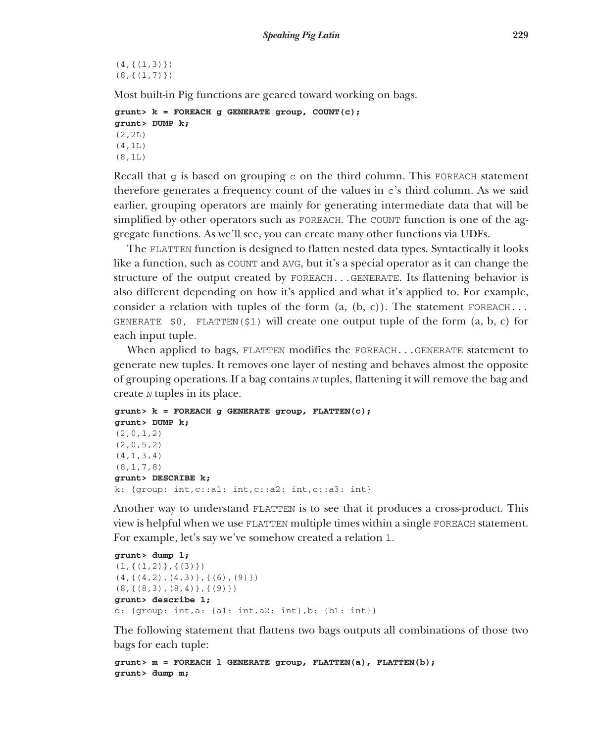$(4, {(1,3)}$ (8,{(1,7)})

Most built-in Pig functions are geared toward working on bags.

```
grunt> k = FOREACH g GENERATE group, COUNT(c);
grunt> DUMP k;
(2,2L)
(4,1L)
(8,1L)
```
Recall that g is based on grouping c on the third column. This FOREACH statement therefore generates a frequency count of the values in c's third column. As we said earlier, grouping operators are mainly for generating intermediate data that will be simplified by other operators such as FOREACH. The COUNT function is one of the aggregate functions. As we'll see, you can create many other functions via UDFs.

The FLATTEN function is designed to flatten nested data types. Syntactically it looks like a function, such as COUNT and AVG, but it's a special operator as it can change the structure of the output created by FOREACH...GENERATE. Its flattening behavior is also different depending on how it's applied and what it's applied to. For example, consider a relation with tuples of the form  $(a, (b, c))$ . The statement FOREACH... GENERATE  $\zeta$ 0, FLATTEN( $\zeta$ 1) will create one output tuple of the form (a, b, c) for each input tuple.

When applied to bags, FLATTEN modifies the FOREACH...GENERATE statement to generate new tuples. It removes one layer of nesting and behaves almost the opposite of grouping operations. If a bag contains *N* tuples, flattening it will remove the bag and create *N* tuples in its place.

```
grunt> k = FOREACH g GENERATE group, FLATTEN(c);
grunt> DUMP k;
(2,0,1,2)
(2,0,5,2)
(4,1,3,4)
(8,1,7,8)
grunt> DESCRIBE k;
k: {group: int,c::a1: int,c::a2: int,c::a3: int}
```
Another way to understand FLATTEN is to see that it produces a cross-product. This view is helpful when we use FLATTEN multiple times within a single FOREACH statement. For example, let's say we've somehow created a relation l.

```
grunt> dump l;
(1, {(1,2)}, {(3)})
(4,\{(4,2),(4,3)\},\{(6),(9)\})(8, {(8,3), (8,4)}, {(9)}grunt> describe l;
d: {group: int,a: {a1: int,a2: int},b: {b1: int}}
```
The following statement that flattens two bags outputs all combinations of those two bags for each tuple:

```
grunt> m = FOREACH l GENERATE group, FLATTEN(a), FLATTEN(b);
grunt> dump m;
```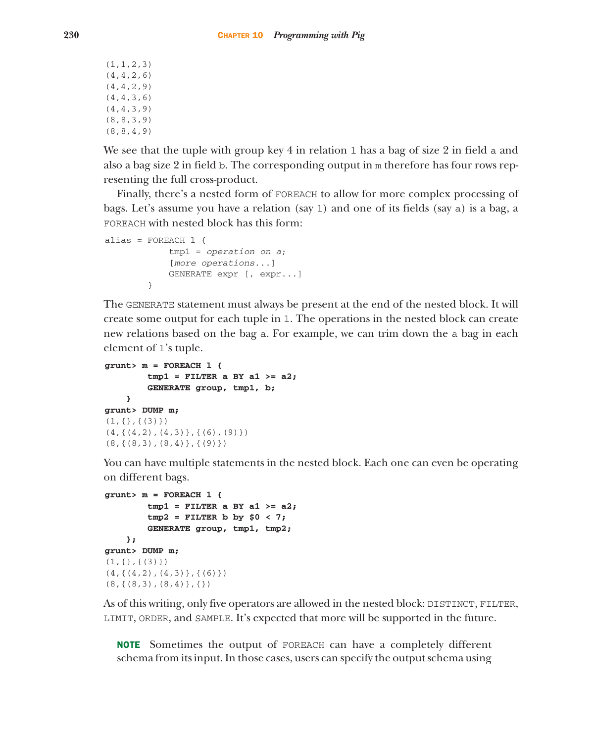(1,1,2,3) (4,4,2,6) (4,4,2,9) (4,4,3,6) (4,4,3,9) (8,8,3,9) (8,8,4,9)

We see that the tuple with group key 4 in relation 1 has a bag of size 2 in field a and also a bag size 2 in field b. The corresponding output in m therefore has four rows representing the full cross-product.

Finally, there's a nested form of FOREACH to allow for more complex processing of bags. Let's assume you have a relation (say l) and one of its fields (say a) is a bag, a FOREACH with nested block has this form:

```
alias = FOREACH l {
            tmp1 = operation on a;
            [more operations...]
            GENERATE expr [, expr...]
 }
```
The GENERATE statement must always be present at the end of the nested block. It will create some output for each tuple in l. The operations in the nested block can create new relations based on the bag a. For example, we can trim down the a bag in each element of l's tuple.

```
grunt> m = FOREACH l {
         tmp1 = FILTER a BY a1 >= a2;
         GENERATE group, tmp1, b;
     }
grunt> DUMP m;
(1,\{\},\{(3)\})(4, {(4,2), (4,3)}, {(6), (9)}(8,{(8,3),(8,4)},{(9)})
```
You can have multiple statements in the nested block. Each one can even be operating on different bags.

```
grunt> m = FOREACH l {
         tmp1 = FILTER a BY a1 >= a2;
         tmp2 = FILTER b by $0 < 7;
         GENERATE group, tmp1, tmp2;
     };
grunt> DUMP m;
(1,\{\},\{(3)\})(4, {(4,2), (4,3)}, {(6)}(8, {(8,3), (8,4)},\{\})
```
As of this writing, only five operators are allowed in the nested block: DISTINCT, FILTER, LIMIT, ORDER, and SAMPLE. It's expected that more will be supported in the future.

NOTE Sometimes the output of FOREACH can have a completely different schema from its input. In those cases, users can specify the output schema using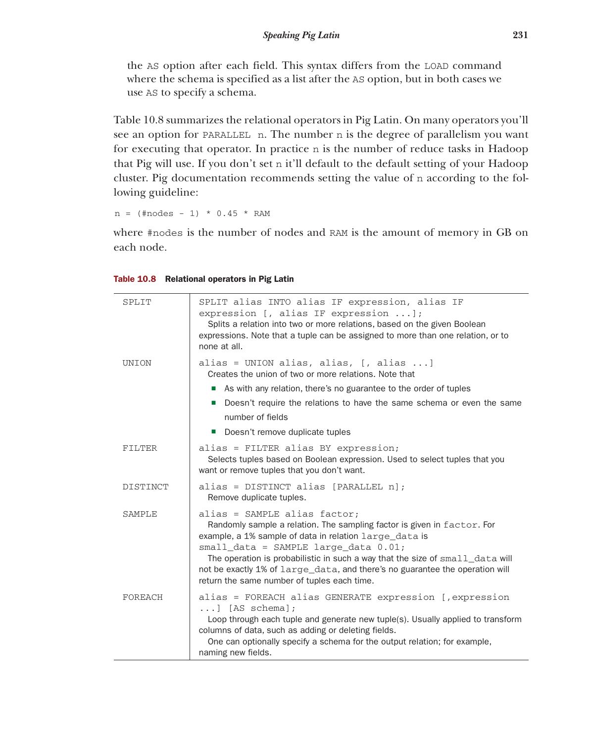the AS option after each field. This syntax differs from the LOAD command where the schema is specified as a list after the AS option, but in both cases we use AS to specify a schema.

Table 10.8 summarizes the relational operators in Pig Latin. On many operators you'll see an option for PARALLEL n. The number n is the degree of parallelism you want for executing that operator. In practice n is the number of reduce tasks in Hadoop that Pig will use. If you don't set n it'll default to the default setting of your Hadoop cluster. Pig documentation recommends setting the value of n according to the following guideline:

 $n = (4nodes - 1) * 0.45 * RAM$ 

where #nodes is the number of nodes and RAM is the amount of memory in GB on each node.

| SPLIT         | SPLIT alias INTO alias IF expression, alias IF<br>expression [, alias IF expression ];<br>Splits a relation into two or more relations, based on the given Boolean<br>expressions. Note that a tuple can be assigned to more than one relation, or to<br>none at all.                                                                                                                                                     |
|---------------|---------------------------------------------------------------------------------------------------------------------------------------------------------------------------------------------------------------------------------------------------------------------------------------------------------------------------------------------------------------------------------------------------------------------------|
| UNION         | alias = UNION alias, alias, $[$ , alias $]$<br>Creates the union of two or more relations. Note that                                                                                                                                                                                                                                                                                                                      |
|               | As with any relation, there's no guarantee to the order of tuples                                                                                                                                                                                                                                                                                                                                                         |
|               | Doesn't require the relations to have the same schema or even the same<br>number of fields                                                                                                                                                                                                                                                                                                                                |
|               | Doesn't remove duplicate tuples                                                                                                                                                                                                                                                                                                                                                                                           |
| <b>FILTER</b> | alias = FILTER alias BY expression;<br>Selects tuples based on Boolean expression. Used to select tuples that you<br>want or remove tuples that you don't want.                                                                                                                                                                                                                                                           |
| DISTINCT      | alias = DISTINCT alias [PARALLEL n];<br>Remove duplicate tuples.                                                                                                                                                                                                                                                                                                                                                          |
| SAMPLE        | alias = SAMPLE alias factor;<br>Randomly sample a relation. The sampling factor is given in factor. For<br>example, a 1% sample of data in relation large_data is<br>small_data = SAMPLE large_data 0.01;<br>The operation is probabilistic in such a way that the size of small_data will<br>not be exactly 1% of large_data, and there's no guarantee the operation will<br>return the same number of tuples each time. |
| FOREACH       | alias = FOREACH alias GENERATE expression [, expression<br>$\dots$ ] [AS schema];<br>Loop through each tuple and generate new tuple(s). Usually applied to transform<br>columns of data, such as adding or deleting fields.<br>One can optionally specify a schema for the output relation; for example,<br>naming new fields.                                                                                            |

Table 10.8 Relational operators in Pig Latin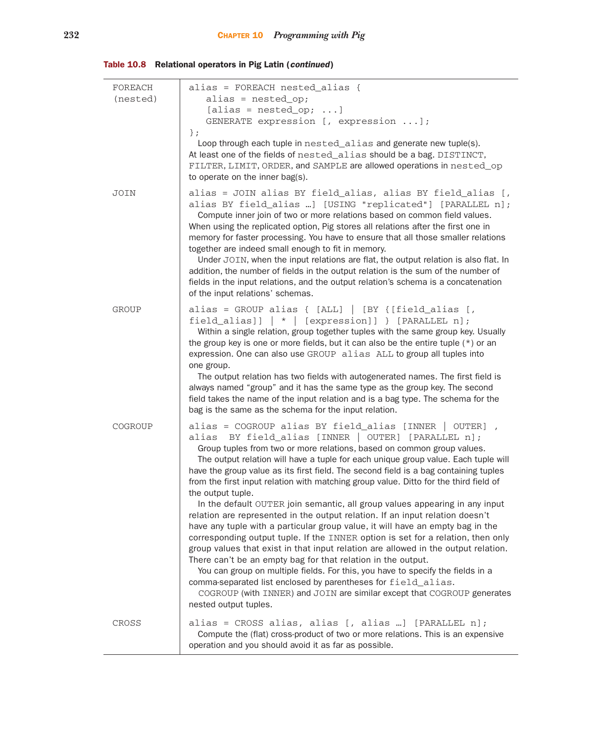Table 10.8 Relational operators in Pig Latin (*continued*)

| FOREACH<br>(nested) | alias = FOREACH nested_alias {<br>alias = $nested_op;$<br>$[alias = nested_op; ]$<br>GENERATE expression [, expression ];<br>$};$<br>Loop through each tuple in nested_alias and generate new tuple(s).<br>At least one of the fields of nested_alias should be a bag. DISTINCT,<br>FILTER, LIMIT, ORDER, and SAMPLE are allowed operations in nested_op                                                                                                                                                                                                                                                                                                                                                                                                                                                                                                                                                                                                                                                                                                                                                                                                                                                                                   |
|---------------------|--------------------------------------------------------------------------------------------------------------------------------------------------------------------------------------------------------------------------------------------------------------------------------------------------------------------------------------------------------------------------------------------------------------------------------------------------------------------------------------------------------------------------------------------------------------------------------------------------------------------------------------------------------------------------------------------------------------------------------------------------------------------------------------------------------------------------------------------------------------------------------------------------------------------------------------------------------------------------------------------------------------------------------------------------------------------------------------------------------------------------------------------------------------------------------------------------------------------------------------------|
| <b>JOIN</b>         | to operate on the inner bag(s).<br>alias = JOIN alias BY field alias, alias BY field alias [,<br>alias BY field_alias ] [USING "replicated"] [PARALLEL n];<br>Compute inner join of two or more relations based on common field values.<br>When using the replicated option, Pig stores all relations after the first one in<br>memory for faster processing. You have to ensure that all those smaller relations<br>together are indeed small enough to fit in memory.<br>Under JOIN, when the input relations are flat, the output relation is also flat. In<br>addition, the number of fields in the output relation is the sum of the number of<br>fields in the input relations, and the output relation's schema is a concatenation<br>of the input relations' schemas.                                                                                                                                                                                                                                                                                                                                                                                                                                                              |
| <b>GROUP</b>        | alias = GROUP alias { $[ALL]   [BY [{field\_alias} ],$<br>field_alias]] $\vert * \vert$ [expression]] } [PARALLEL n];<br>Within a single relation, group together tuples with the same group key. Usually<br>the group key is one or more fields, but it can also be the entire tuple $(*)$ or an<br>expression. One can also use GROUP alias ALL to group all tuples into<br>one group.<br>The output relation has two fields with autogenerated names. The first field is<br>always named "group" and it has the same type as the group key. The second<br>field takes the name of the input relation and is a bag type. The schema for the<br>bag is the same as the schema for the input relation.                                                                                                                                                                                                                                                                                                                                                                                                                                                                                                                                     |
| COGROUP             | alias = $COGROUP$ alias BY field_alias [INNER   OUTER],<br>BY field_alias [INNER   OUTER] [PARALLEL n];<br>alias<br>Group tuples from two or more relations, based on common group values.<br>The output relation will have a tuple for each unique group value. Each tuple will<br>have the group value as its first field. The second field is a bag containing tuples<br>from the first input relation with matching group value. Ditto for the third field of<br>the output tuple.<br>In the default OUTER join semantic, all group values appearing in any input<br>relation are represented in the output relation. If an input relation doesn't<br>have any tuple with a particular group value, it will have an empty bag in the<br>corresponding output tuple. If the INNER option is set for a relation, then only<br>group values that exist in that input relation are allowed in the output relation.<br>There can't be an empty bag for that relation in the output.<br>You can group on multiple fields. For this, you have to specify the fields in a<br>comma-separated list enclosed by parentheses for field_alias.<br>COGROUP (with INNER) and JOIN are similar except that COGROUP generates<br>nested output tuples. |
| CROSS               | alias = CROSS alias, alias [, alias ] [PARALLEL n];<br>Compute the (flat) cross-product of two or more relations. This is an expensive<br>operation and you should avoid it as far as possible.                                                                                                                                                                                                                                                                                                                                                                                                                                                                                                                                                                                                                                                                                                                                                                                                                                                                                                                                                                                                                                            |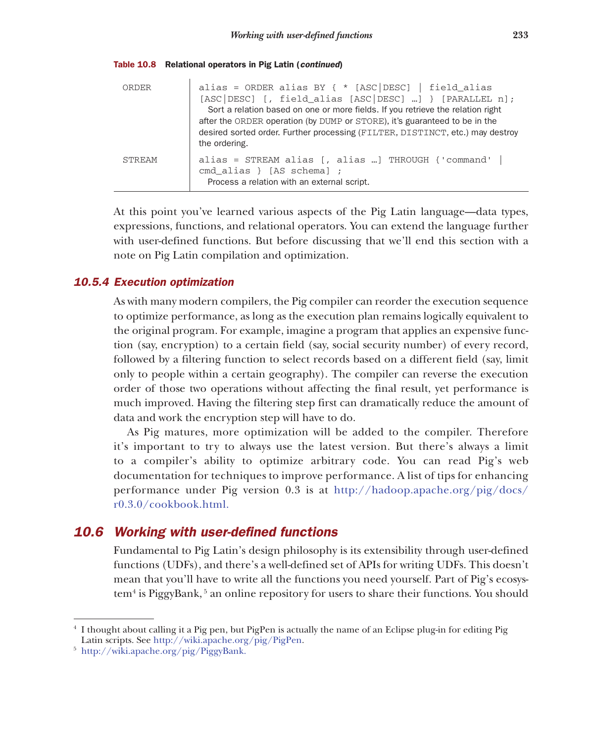Table 10.8 Relational operators in Pig Latin (*continued*)

| ORDER  | alias = ORDER alias BY { $*$ [ASC DESC]   field alias<br>[ASC   DESC] [, field_alias [ASC   DESC] ] } [PARALLEL n];<br>Sort a relation based on one or more fields. If you retrieve the relation right<br>after the ORDER operation (by DUMP or STORE), it's guaranteed to be in the<br>desired sorted order. Further processing (FILTER, DISTINCT, etc.) may destroy<br>the ordering. |  |
|--------|----------------------------------------------------------------------------------------------------------------------------------------------------------------------------------------------------------------------------------------------------------------------------------------------------------------------------------------------------------------------------------------|--|
| STREAM | alias = $STREAM$ alias [, alias ] $THROUGH$ { 'command'  <br>cmd alias } [AS schema] ;<br>Process a relation with an external script.                                                                                                                                                                                                                                                  |  |

At this point you've learned various aspects of the Pig Latin language—data types, expressions, functions, and relational operators. You can extend the language further with user-defined functions. But before discussing that we'll end this section with a note on Pig Latin compilation and optimization.

#### **10.5.4 Execution optimization**

As with many modern compilers, the Pig compiler can reorder the execution sequence to optimize performance, as long as the execution plan remains logically equivalent to the original program. For example, imagine a program that applies an expensive function (say, encryption) to a certain field (say, social security number) of every record, followed by a filtering function to select records based on a different field (say, limit only to people within a certain geography). The compiler can reverse the execution order of those two operations without affecting the final result, yet performance is much improved. Having the filtering step first can dramatically reduce the amount of data and work the encryption step will have to do.

As Pig matures, more optimization will be added to the compiler. Therefore it's important to try to always use the latest version. But there's always a limit to a compiler's ability to optimize arbitrary code. You can read Pig's web documentation for techniques to improve performance. A list of tips for enhancing performance under Pig version 0.3 is at [http://hadoop.apache.org/pig/docs/](http://hadoop.apache.org/pig/docs/r0.3.0/cookbook.html) [r0.3.0/cookbook.html.](http://hadoop.apache.org/pig/docs/r0.3.0/cookbook.html)

## *10.6 Working with user-defined functions*

Fundamental to Pig Latin's design philosophy is its extensibility through user-defined functions (UDFs), and there's a well-defined set of APIs for writing UDFs. This doesn't mean that you'll have to write all the functions you need yourself. Part of Pig's ecosystem<sup>4</sup> is PiggyBank,<sup>5</sup> an online repository for users to share their functions. You should

<sup>4</sup> I thought about calling it a Pig pen, but PigPen is actually the name of an Eclipse plug-in for editing Pig Latin scripts. See [http://wiki.apache.org/pig/PigPen.](http://wiki.apache.org/pig/PigPen)

<sup>5</sup> [http://wiki.apache.org/pig/PiggyBank.](http://wiki.apache.org/pig/PiggyBank)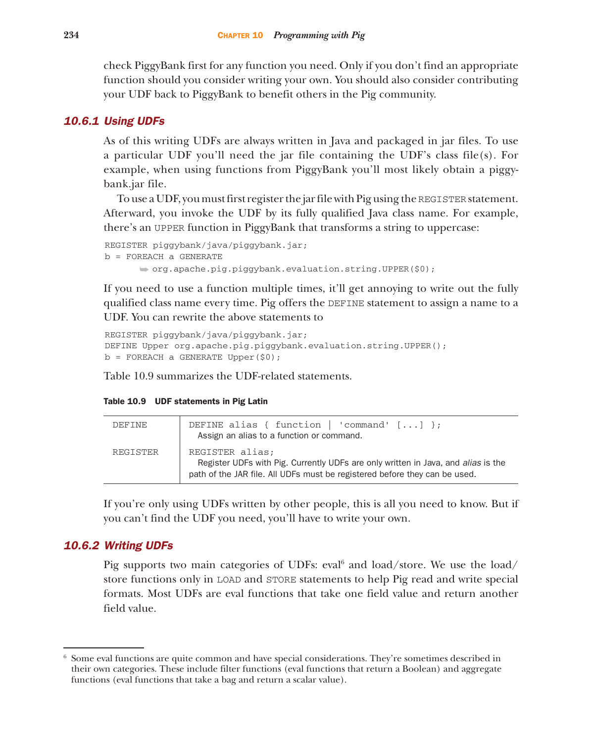check PiggyBank first for any function you need. Only if you don't find an appropriate function should you consider writing your own. You should also consider contributing your UDF back to PiggyBank to benefit others in the Pig community.

### *10.6.1 Using UDFs*

As of this writing UDFs are always written in Java and packaged in jar files. To use a particular UDF you'll need the jar file containing the UDF's class file(s). For example, when using functions from PiggyBank you'll most likely obtain a piggybank.jar file.

To use a UDF, you must first register the jar file with Pig using the REGISTER statement . Afterward, you invoke the UDF by its fully qualified Java class name. For example, there's an UPPER function in PiggyBank that transforms a string to uppercase:

```
REGISTER piggybank/java/piggybank.jar;
b = FOREACH a GENERATE
       ➥ org.apache.pig.piggybank.evaluation.string.UPPER($0);
```
If you need to use a function multiple times, it'll get annoying to write out the fully qualified class name every time. Pig offers the DEFINE statement to assign a name to a UDF. You can rewrite the above statements to

```
REGISTER piggybank/java/piggybank.jar;
DEFINE Upper org.apache.pig.piggybank.evaluation.string.UPPER();
b = FOREACH a GENERATE Upper($0);
```
Table 10.9 summarizes the UDF-related statements.

#### Table 10.9 UDF statements in Pig Latin

| DEFINE   | DEFINE alias { function   'command' $[]$ };<br>Assign an alias to a function or command.                                                                                           |  |  |  |
|----------|------------------------------------------------------------------------------------------------------------------------------------------------------------------------------------|--|--|--|
| REGISTER | REGISTER alias:<br>Register UDFs with Pig. Currently UDFs are only written in Java, and alias is the<br>path of the JAR file. All UDFs must be registered before they can be used. |  |  |  |

If you're only using UDFs written by other people, this is all you need to know. But if you can't find the UDF you need, you'll have to write your own.

#### *10.6.2 Writing UDFs*

Pig supports two main categories of UDFs: eval $^6$  and load/store. We use the load/ store functions only in LOAD and STORE statements to help Pig read and write special formats. Most UDFs are eval functions that take one field value and return another field value.

<sup>6</sup> Some eval functions are quite common and have special considerations. They're sometimes described in their own categories. These include filter functions (eval functions that return a Boolean) and aggregate functions (eval functions that take a bag and return a scalar value).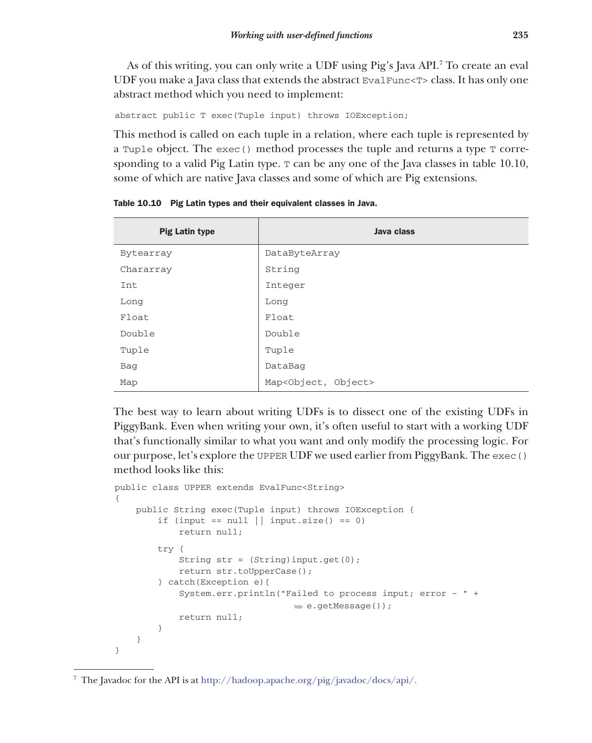As of this writing, you can only write a UDF using Pig's Java API.<sup>7</sup> To create an eval UDF you make a Java class that extends the abstract  $EvalFunc < T>$  class. It has only one abstract method which you need to implement:

```
abstract public T exec(Tuple input) throws IOException;
```
This method is called on each tuple in a relation, where each tuple is represented by a Tuple object. The exec() method processes the tuple and returns a type  $T$  corresponding to a valid Pig Latin type.  $\text{T}$  can be any one of the Java classes in table 10.10, some of which are native Java classes and some of which are Pig extensions.

| <b>Pig Latin type</b> | Java class                        |
|-----------------------|-----------------------------------|
| Bytearray             | DataByteArray                     |
| Chararray             | String                            |
| Int.                  | Integer                           |
| Long                  | Long                              |
| Float.                | Float                             |
| Double                | Double                            |
| Tuple                 | Tuple                             |
| Bag                   | DataBag                           |
| Map                   | Map <object, object=""></object,> |

Table 10.10 Pig Latin types and their equivalent classes in Java.

The best way to learn about writing UDFs is to dissect one of the existing UDFs in PiggyBank. Even when writing your own, it's often useful to start with a working UDF that's functionally similar to what you want and only modify the processing logic. For our purpose, let's explore the UPPER UDFwe used earlier from PiggyBank. The exec() method looks like this:

```
public class UPPER extends EvalFunc<String>
{
     public String exec(Tuple input) throws IOException {
        if (input == null || input.size() == 0)
             return null;
         try {
            String str = (String) input.get(0); return str.toUpperCase();
         } catch(Exception e){
             System.err.println("Failed to process input; error - " +
                                   \rightarrow e.getMessage());
             return null;
         }
     }
}
```
 $^7$  The Javadoc for the API is at [http://hadoop.apache.org/pig/javadoc/docs/api/.](http://hadoop.apache.org/pig/javadoc/docs/api/)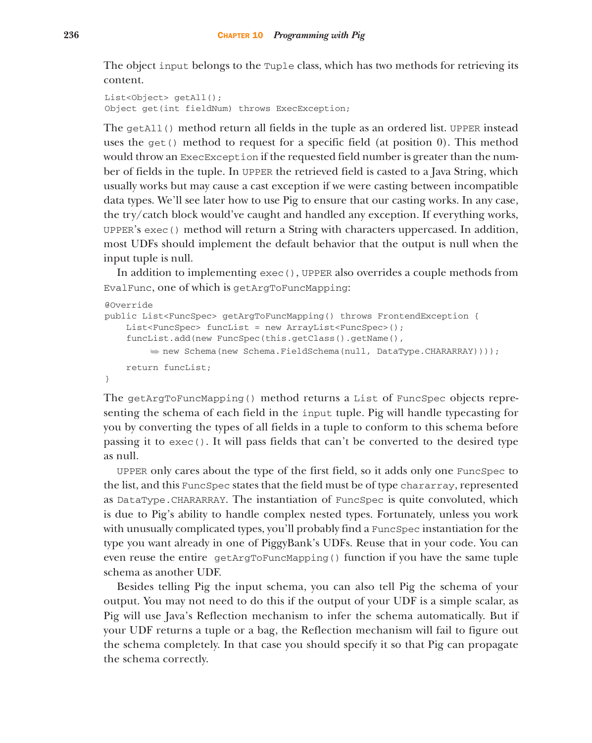The object input belongs to the Tuple class, which has two methods for retrieving its content.

```
List<Object> getAll();
Object get(int fieldNum) throws ExecException;
```
The getAll() method return all fields in the tuple as an ordered list. UPPER instead uses the  $qet()$  method to request for a specific field (at position 0). This method would throw an ExecException if the requested field number is greater than the number of fields in the tuple. In UPPER the retrieved field is casted to a Java String, which usually works but may cause a cast exception if we were castingbetween incompatible data types. We'll see later how to use Pig to ensure that our casting works. In any case, the try/catch block would've caught and handled any exception. If everything works, UPPER's exec() method will return a String with characters uppercased. In addition, most UDFs should implement the default behavior that the output is null when the input tuple is null.

In addition to implementing exec(), UPPER also overrides a couple methods from EvalFunc, one of which is getArgToFuncMapping:

```
@Override
public List<FuncSpec> getArgToFuncMapping() throws FrontendException {
    List<FuncSpec> funcList = new ArrayList<FuncSpec>();
     funcList.add(new FuncSpec(this.getClass().getName(),
         ➥ new Schema(new Schema.FieldSchema(null, DataType.CHARARRAY))));
    return funcList;
}
```
The getArgToFuncMapping() method returns a List of FuncSpec objects representing the schema of each field in the input tuple. Pig will handle typecasting for you by converting the types of all fields in a tuple to conform to this schema before passing it to exec(). It will pass fields that can't be converted to the desired type as null.

UPPER only cares about the type of the first field, so it adds only one FuncSpec to the list, and this FuncSpec states that the field must be of type chararray, represented as DataType.CHARARRAY. The instantiation of FuncSpec is quite convoluted, which is due to Pig's ability to handle complex nested types. Fortunately, unless you work with unusually complicated types, you'll probably find a FuncSpec instantiation for the type you want already in one of PiggyBank 's UDFs. Reuse that in your code. You can even reuse the entire getArgToFuncMapping() function if you have the same tuple schema as another UDF.

Besides telling Pig the input schema, you can also tell Pig the schema of your output. You may not need to do this if the output of your UDF is a simple scalar , as Pig will use Java's Reflection mechanism to infer the schema automatically. But if your UDF returns a tuple or a bag, the Reflection mechanismwill fail to figure out the schema completely. In that case you should specify it so that Pig can propagate the schema correctly.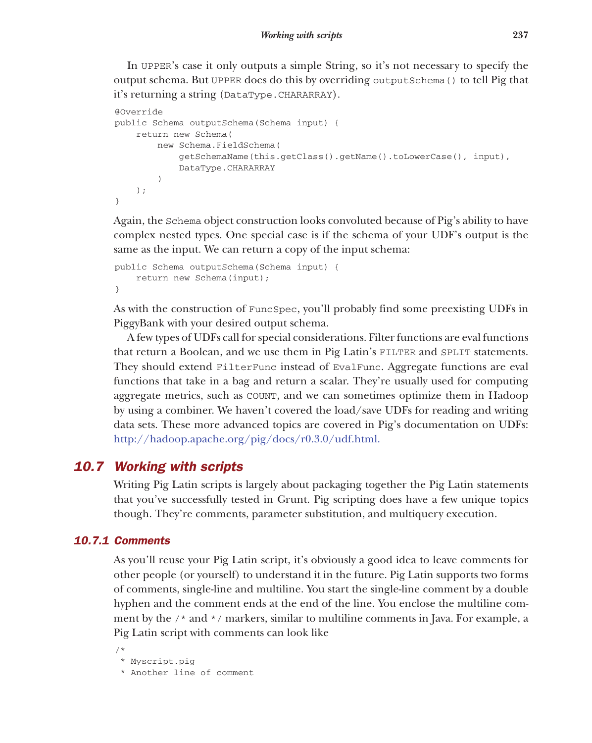In UPPER's case it only outputs a simple String, so it's not necessary to specify the output schema. But UPPER does do this by overriding outputSchema() to tell Pig that it's returning a string (DataType.CHARARRAY).

```
@Override
public Schema outputSchema(Schema input) {
    return new Schema(
        new Schema.FieldSchema(
            getSchemaName(this.getClass().getName().toLowerCase(), input),
             DataType.CHARARRAY
         )
    );
}
```
Again, the Schema object construction looks convoluted because of Pig's ability to have complex nested types. One special case is if the schema of your UDF's output is the same as the input. We can return a copy of the input schema:

```
public Schema outputSchema(Schema input) {
     return new Schema(input);
}
```
As with the construction of FuncSpec, you'll probably find some preexisting UDFs in PiggyBank with your desired output schema.

A few types of UDFs call for special considerations. Filter functions are eval functions that return a Boolean, and we use them in Pig Latin's FILTER and SPLIT statements. They should extend FilterFunc instead of EvalFunc. Aggregate functions are eval functions that take in a bag and return a scalar. They're usually used for computing aggregate metrics, such as COUNT, and we can sometimes optimize them in Hadoop by using a combiner. We haven't covered the load/save UDFs for reading and writing data sets. These more advanced topics are covered in Pig's documentation on UDFs: [http://hadoop.apache.org/pig/docs/r0.3.0/udf.html.](http://hadoop.apache.org/pig/docs/r0.3.0/udf.html)

# *10.7 Working with scripts*

Writing Pig Latin scripts is largely about packaging together the Pig Latin statements that you've successfully tested in Grunt. Pig scripting does have a few unique topics though. They're comments, parameter substitution, and multiquery execution.

# *10.7.1 Comments*

As you'll reuse your Pig Latin script, it's obviously a good idea to leave commentsfor other people (or yourself) to understand it in the future. Pig Latinsupports two forms of comments, single-line and multiline. You start the single-line commentby a double hyphen and the comment ends at the end of the line. You enclose the multiline comment by the  $/*$  and  $*/$  markers, similar to multiline comments in Java. For example, a Pig Latin script with comments can look like

/\* \* Myscript.pig \* Another line of comment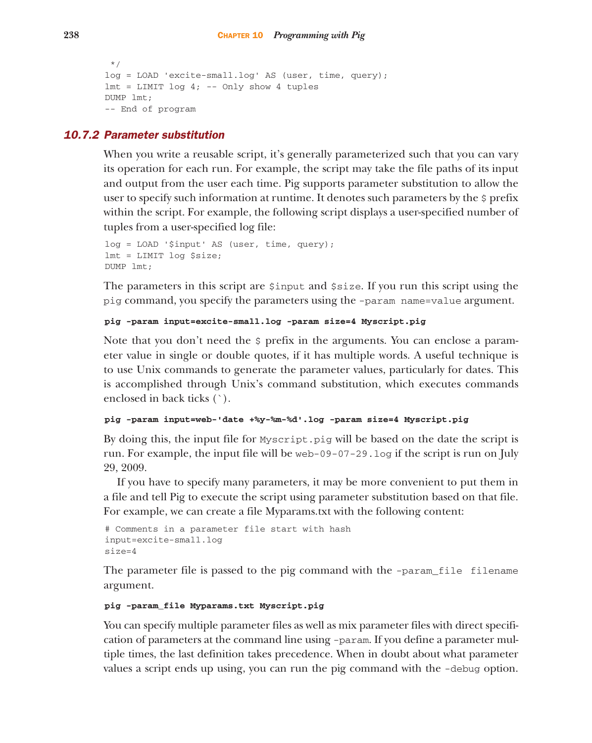```
 */
log = LOAD 'excite-small.log' AS (user, time, query);
lmt = LIMIT log 4; -- Only show 4 tuplesDUMP lmt;
-- End of program
```
#### *10.7.2 Parameter substitution*

When you write a reusable script, it's generally parameterized such that you can vary its operation for each run. For example, the script may take the file paths of its input and output from the user each time. Pig supports parameter substitutionto allow the user to specify such information at runtime. It denotes such parameters by the \$ prefix within the script. For example, the following script displays a user-specified number of tuples from a user-specified log file:

```
log = LOAD '$input' AS (user, time, query);
lmt = LIMIT log $size;
DUMP lmt;
```
The parameters in this script are \$input and \$size. If you run this script using the pig command, you specify the parameters using the -param name=value argument.

#### **pig -param input=excite-small.log -param size=4 Myscript.pig**

Note that you don't need the \$ prefix in the arguments. You can enclose a parameter value in single or double quotes, if it has multiple words. A useful technique is to use Unix commands to generate the parameter values, particularly for dates. This is accomplished through Unix's command substitution, which executes commands enclosed in back ticks (`).

#### **pig -param input=web-'date +%y-%m-%d'.log -param size=4 Myscript.pig**

By doing this, the input file for Myscript.pig will be based on the date the script is run. For example, the input file will be web-09-07-29.log if the script is run on July 29, 2009.

If you have to specify many parameters, it may be more convenient to put them in a file and tell Pig to execute the script using parameter substitution based on that file. For example, we can create a file Myparams.txt with the following content:

```
# Comments in a parameter file start with hash
input=excite-small.log
size=4
```
The parameter file is passed to the pig command with the -param\_file filename argument.

#### **pig -param\_file Myparams.txt Myscript.pig**

You can specify multiple parameter files as well as mix parameter files with direct specification of parameters at the command line using -param. If you define a parameter multiple times, the last definition takes precedence. When in doubt about what parameter values a script ends up using, you can run the pig command with the -debug option.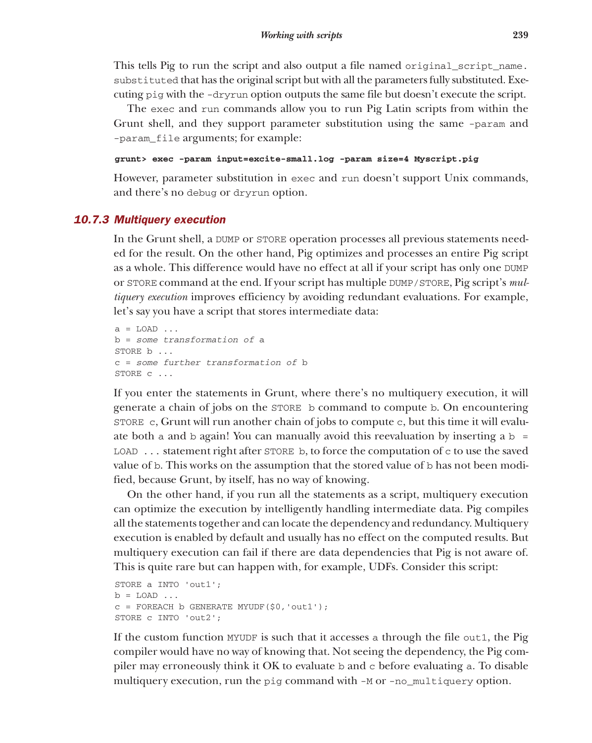This tells Pig to run the script and also output a file named original\_script\_name. substituted that has the original script but with all the parameters fully substituted. Executing pig with the -dryrun option outputs the same file but doesn't execute the script.

The exec and run commands allow you to run Pig Latin scripts from within the Grunt shell, and they support parameter substitution using the same -param and -param\_file arguments; for example:

#### **grunt> exec -param input=excite-small.log -param size=4 Myscript.pig**

However, parameter substitution in exec and run doesn't support Unix commands, and there's no debug or dryrun option.

#### *10.7.3 Multiquery execution*

In the Grunt shell, a DUMP or STORE operation processes all previous statements needed for the result. On the other hand, Pig optimizes and processes an entire Pig script as a whole. This difference would have no effect at all if your script has only one DUMP or STORE command at the end. If your script has multiple DUMP/STORE, Pigscript's *multiquery execution* improves efficiency by avoiding redundant evaluations. For example, let's say you have a script that stores intermediate data:

```
a = LOAD ...
b = some transformation of a
STORE b ...
c = some further transformation of b
STORE c ...
```
If you enter the statements in Grunt, where there's no multiquery execution, it will generate a chain of jobs on the STORE b command to compute b. On encountering STORE c, Grunt will run another chain of jobs to compute c, but this time it will evaluate both a and b again! You can manually avoid this reevaluation by inserting a  $b =$ LOAD ... statement right after STORE b, to force the computation of c to use the saved value of b. This works on the assumption that the stored value of b has not been modified, because Grunt, by itself, has no way of knowing.

On the other hand, if you run all the statements as a script, multiquery execution can optimize the execution by intelligently handling intermediate data. Pig compiles all the statements together and can locate the dependency and redundancy. Multiquery execution is enabled by default and usually has no effect on the computed results. But multiquery execution can fail if there are data dependencies that Pig is not aware of. This is quite rare but can happen with, for example, UDFs. Consider this script:

```
STORE a INTO 'out1';
b = LOAD \ldotsc = FOREACH b GENERATE MYUDF($0,'out1');
STORE c INTO 'out2';
```
If the custom function MYUDF is such that it accesses a through the file out1, the Pig compiler would have no way of knowing that. Not seeing the dependency, the Pig compiler may erroneously think it OK to evaluate b and c before evaluating a. To disable multiquery execution, run the pig command with -M or -no\_multiquery option.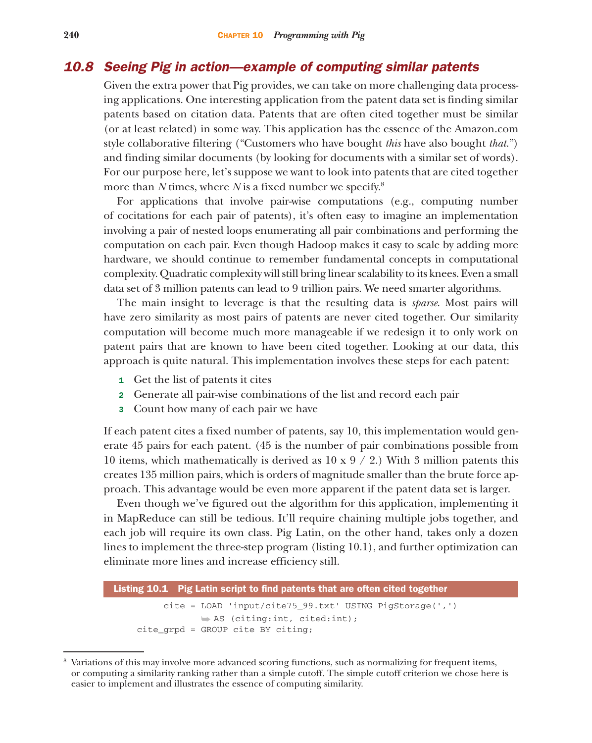# *10.8 Seeing Pig in action—example of computing similar patents*

Given the extra power that Pig provides, we can take on more challenging data processing applications. One interesting application from the patent data set is finding similar patents based on citation data. Patents that are often cited together must be similar (or at least related) in some way. This application has the essence of the Amazon.com style collaborative filtering("Customers who have bought *this* have also bought *that*.") and finding similar documents (by looking for documents with a similar set of words). For our purpose here, let's suppose we want to look into patents that are cited together more than *N* times, where *N* is a fixed number we specify.8

For applications that involve pair-wise computations (e.g., computing number of cocitations for each pair of patents), it's often easy to imagine an implementation involving a pair of nested loops enumerating all pair combinations and performing the computation on each pair. Even though Hadoop makes it easy to scale by adding more hardware, we should continue to remember fundamental concepts in computational complexity. Quadratic complexitywill still bring linear scalability to its knees. Even a small data set of 3 million patents can lead to 9 trillion pairs. We need smarter algorithms.

The main insight to leverage is that the resulting data is *sparse* . Most pairs will have zero similarity as most pairs of patents are never cited together. Our similarity computation will become much more manageable if we redesign it to only work on patent pairs that are known to have been cited together. Looking at our data, this approach is quite natural. This implementation involves these steps for each patent:

- **1** Get the list of patents it cites
- 2 Generate all pair-wise combinations of the list and record each pair
- **3** Count how many of each pair we have

If each patent cites a fixed number of patents, say 10, this implementation would generate 45 pairs for each patent. (45 is the number of pair combinations possible from 10 items, which mathematically is derived as  $10 \times 9 / 2$ .) With 3 million patents this creates 135 million pairs, which is orders of magnitude smaller than the brute force approach. This advantage would be even more apparent if the patent data set is larger.

Even though we've figured out the algorithm for this application, implementing it in MapReduce can still be tedious. It'll require chaining multiple jobs together, and each job will require its own class. Pig Latin, on the other hand, takes only a dozen lines to implement the three-step program (listing 10.1), and further optimization can eliminate more lines and increase efficiency still.

```
Listing 10.1 Pig Latin script to find patents that are often cited together
           cite = LOAD 'input/cite75_99.txt' USING PigStorage(',')
                  ➥ AS (citing:int, cited:int);
     cite_grpd = GROUP cite BY citing;
```
<sup>8</sup> Variations of this may involve more advanced scoring functions, such as normalizing for frequent items, or computing a similarity ranking rather than a simple cutoff. The simple cutoff criterion we chose here is easier to implement and illustrates the essence of computing similarity.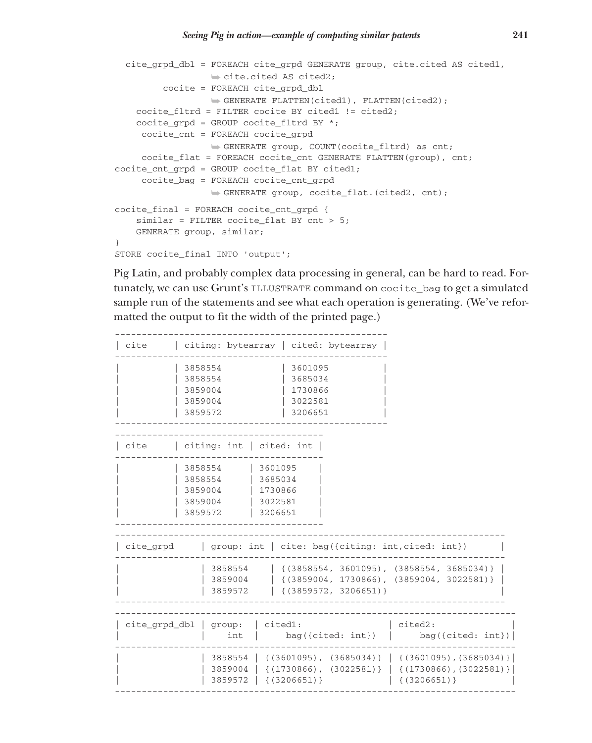```
 cite_grpd_dbl = FOREACH cite_grpd GENERATE group, cite.cited AS cited1,
                  ➥ cite.cited AS cited2;
          cocite = FOREACH cite_grpd_dbl
                  ➥ GENERATE FLATTEN(cited1), FLATTEN(cited2);
     cocite_fltrd = FILTER cocite BY cited1 != cited2;
     cocite_grpd = GROUP cocite_fltrd BY *;
     cocite_cnt = FOREACH cocite_grpd
                  ➥ GENERATE group, COUNT(cocite_fltrd) as cnt;
     cocite_flat = FOREACH cocite_cnt GENERATE FLATTEN(group), cnt;
cocite_cnt_grpd = GROUP cocite_flat BY cited1;
    cocite bag = FOREACH cocite cnt grpd
                   ➥ GENERATE group, cocite_flat.(cited2, cnt);
cocite_final = FOREACH cocite_cnt_grpd {
    similar = FILTER cocite flat BY cnt > 5;
    GENERATE group, similar;
}
STORE cocite_final INTO 'output';
```
Pig Latin, and probably complex data processing in general, can be hard to read. Fortunately, we can use Grunt's ILLUSTRATE command on cocite\_bag to get a simulated sample run of the statements and see what each operation is generating. (We've reformatted the output to fit the width of the printed page.)

```
---------------------------------------------------
| cite | citing: bytearray | cited: bytearray |
---------------------------------------------------
          | | 3858554 | 3601095 |
          | | 3858554 | 3685034 |
          | | 3859004 | 1730866 |
          | | 3859004 | 3022581 |
          | | 3859572 | 3206651 |
      ---------------------------------------------------
---------------------------------------
| cite | citing: int | cited: int |
---------------------------------------
| | 3858554 | 3601095 |
| | 3858554 | 3685034 |
| | 3859004 | 1730866 |
          | | 3859004 | 3022581 |
          | | 3859572 | 3206651 |
  ---------------------------------------
-------------------------------------------------------------------------
| cite_grpd | group: int | cite: bag({citing: int,cited: int}) |
-------------------------------------------------------------------------
                \begin{array}{|c|c|c|c|c|c|c|c|}\n \hline \end{array} | {(3858554, 3601095), (3858554, 3685034)} |
               | | 3859004 | {(3859004, 1730866), (3859004, 3022581)} |
               | | 3859572 | {(3859572, 3206651)} |
          -------------------------------------------------------------------------
      ---------------------------------------------------------------------------
| cite qrpd dbl | qroup: | cited1: | cited2:
       | int | bag({cited: int}) | bag({cited: int}) |
---------------------------------------------------------------------------
               | 3858554 | {(3601095), (3685034)} | {(3601095), (3685034)}
               | | 3859004 | {(1730866), (3022581)} | {(1730866),(3022581)}|
               | 3859572 | {(3206651)} | {(3206651)}
---------------------------------------------------------------------------
```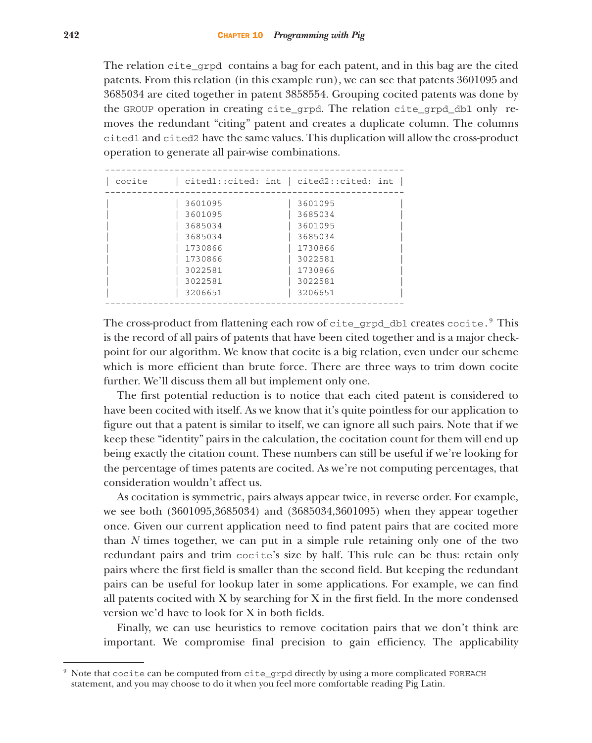The relation cite\_grpd contains a bag for each patent, and in this bag are the cited patents. From this relation (in this example run), we can see that patents 3601095 and 3685034 are cited together in patent 3858554. Grouping cocited patents was done by the GROUP operation in creating cite\_grpd . The relation cite\_grpd\_dbl only removes the redundant "citing" patent and creates a duplicate column. The columns cited1 and cited2 have the same values. This duplication will allow the cross-product operation to generate all pair-wise combinations .

| cocite |                                                                                                 | $cited1::cited: int   cited2::cited: int  $                                                     |  |
|--------|-------------------------------------------------------------------------------------------------|-------------------------------------------------------------------------------------------------|--|
|        | 3601095<br>3601095<br>3685034<br>3685034<br>1730866<br>1730866<br>3022581<br>3022581<br>3206651 | 3601095<br>3685034<br>3601095<br>3685034<br>1730866<br>3022581<br>1730866<br>3022581<br>3206651 |  |
|        |                                                                                                 |                                                                                                 |  |

The cross-product from flattening each row of cite\_grpd\_dbl creates cocite.<sup>9</sup> This is the record of all pairs of patents that have been cited together and is a major checkpoint for our algorithm. We know that cocite is a big relation, even under our scheme which is more efficient than brute force. There are three ways to trim down cocite further. We'll discuss them all but implement only one.

The first potential reduction is to notice that each cited patent is considered to have been cocited with itself. As we know that it's quite pointless for our application to figure out that a patent is similar to itself, we can ignore all such pairs. Note that if we keep these "identity" pairs in the calculation, the cocitation count for them will end up being exactly the citation count. These numbers can still be useful if we're looking for the percentage of times patents are cocited. As we're not computing percentages, that consideration wouldn't affect us.

As cocitation is symmetric, pairs always appear twice, in reverse order. For example, we see both (3601095,3685034) and (3685034,3601095) when they appear together once. Given our current application need to find patent pairs that are cocited more than *N* times together, we can put in a simple rule retaining only one of the two redundant pairs and trim cocite's size by half. This rule can be thus: retain only pairs where the first field is smaller than the second field. But keeping the redundant pairs can be useful for lookup later in some applications. For example, we can find all patents cocited with X by searching for X in the first field. In the more condensed version we'd have to look for X in both fields.

Finally, we can use heuristics to remove cocitation pairs that we don't think are important. We compromise final precision to gain efficiency. The applicability

<sup>9</sup> Note that cocite can be computed from cite\_grpd directly by using a more complicated FOREACH statement, and you may choose to do it when you feel more comfortable reading Pig Latin.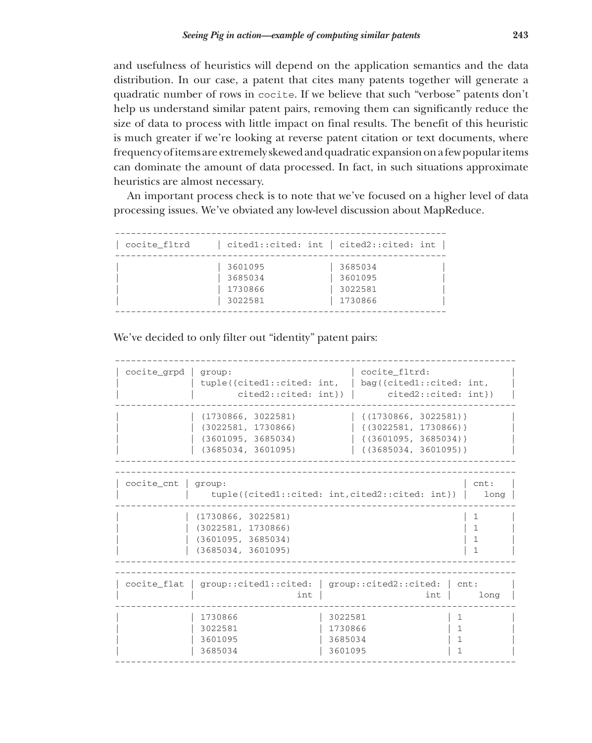and usefulness of heuristics will depend on the application semantics and the data distribution. In our case, a patent that cites many patents together will generate a quadratic number of rows in cocite. If we believe that such "verbose" patents don't help us understand similar patent pairs, removing them can significantly reduce the size of data to process with little impact on final results. The benefit of this heuristic is much greater if we're looking at reverse patent citation or text documents, where frequency of items are extremely skewed and quadratic expansion on a few popular items can dominate the amount of data processed. In fact, in such situations approximate heuristics are almost necessary.

An important process check is to note that we've focused on a higher level of data processing issues. We've obviated any low-level discussion about MapReduce.

| cocite fltrd |                                          | $cited1::cited: int   cited2::cited: int  $ |  |
|--------------|------------------------------------------|---------------------------------------------|--|
|              | 3601095<br>3685034<br>1730866<br>3022581 | 3685034<br>3601095<br>3022581<br>1730866    |  |

We've decided to only filter out "identity" patent pairs:

| cocite_grpd | group:<br>tuple({cited1::cited: int,<br>cited2::cited: int})                                 | cocite_fltrd:<br>$bag({cited::cited:int},$<br>cited2::cited: int})                                            |                    |
|-------------|----------------------------------------------------------------------------------------------|---------------------------------------------------------------------------------------------------------------|--------------------|
|             | (1730866, 3022581)<br>(3022581, 1730866)<br>(3601095, 3685034)<br>(3685034, 3601095)         | $\{(1730866, 3022581)\}$<br>$\{(3022581, 1730866)\}\$<br>$\{(3601095, 3685034)\}$<br>$\{(3685034, 3601095)\}$ |                    |
| cocite cnt  | group:                                                                                       | tuple({cited1::cited: int,cited2::cited: int})                                                                | cnt:<br>long       |
|             | (1730866, 3022581)<br>(3022581, 1730866)<br>(3601095, 3685034)<br>(3685034, 3601095)         |                                                                                                               | ı<br>1.<br>1<br>1. |
|             | $\text{cocite\_flat}$   $\text{group:cited1::cited}:$   $\text{group:cited2::cited}:$<br>int | int                                                                                                           | cnt:<br>long       |
|             | 1730866<br>3022581<br>3601095<br>3685034                                                     | 3022581<br>1730866<br>3685034<br>3601095                                                                      | ı<br>1<br>1.       |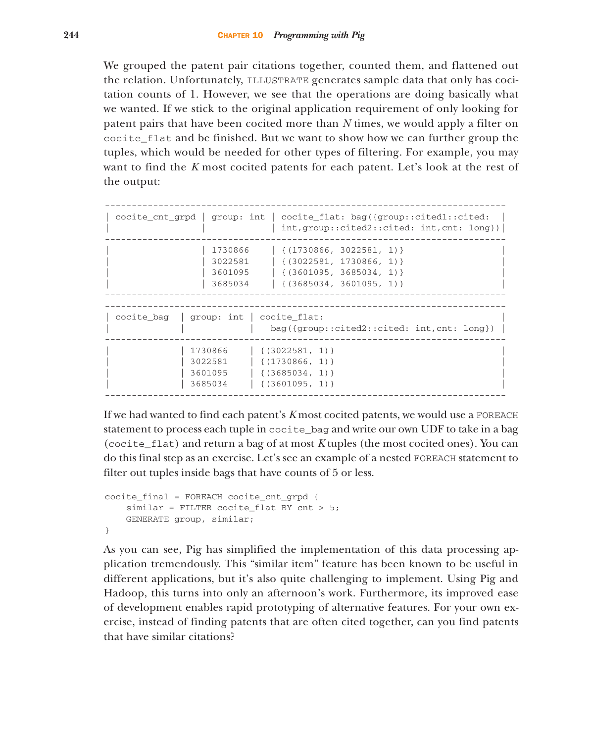We grouped the patent pair citations together, counted them, and flattened out the relation. Unfortunately, ILLUSTRATE generates sample data that only has cocitation counts of 1. However, we see that the operations are doing basically what we wanted. If we stick to the original application requirement of only looking for patent pairs that have been cocited more than *N* times, we would apply a filter on cocite\_flat and be finished. But we want to show how we can further group the tuples, which would be needed for other types of filtering. For example, you may want to find the *K* most cocited patents for each patent. Let's look at the rest of the output:

|                                          |                                          | cocite cnt grpd   group: int   cocite flat: bag( $\{$ group::cited1::cited:<br>$int, group::cited2::cited: int, cnt: long)$ |
|------------------------------------------|------------------------------------------|-----------------------------------------------------------------------------------------------------------------------------|
|                                          | 1730866<br>3022581<br>3601095<br>3685034 | $\{(1730866, 3022581, 1)\}\$<br>$\{(3022581, 1730866, 1)\}\$<br>$\{(3601095, 3685034, 1)\}$<br>$\{(3685034, 3601095, 1)\}\$ |
| cocite bag   $qroup: int$   cocite flat: |                                          | $bag({\{group::cited2::cited: int, cnt: long\}})$                                                                           |
|                                          | 1730866<br>3022581<br>3601095<br>3685034 | $\{(3022581, 1)\}$<br>$\{(1730866, 1)\}\$<br>$\{(3685034, 1)\}$<br>$\{ (3601095, 1) \}$                                     |

If we had wanted to find each patent's *K* most cocited patents, we would use a FOREACH statement to process each tuple in cocite\_bag and write our own UDF to take in a bag (cocite\_flat) and return a bag of at most *K* tuples (the most cocited ones). You can do this final step as an exercise. Let's see an example of a nested FOREACH statement to filter out tuples inside bags that have counts of 5 or less.

```
cocite_final = FOREACH cocite_cnt_grpd {
   similar = FILTER cocite flat BY cnt > 5;
    GENERATE group, similar;
}
```
As you can see, Pig has simplified the implementation of this data processing application tremendously. This "similar item" feature has been known to be useful in different applications, but it's also quite challenging to implement. Using Pig and Hadoop, this turns into only an afternoon's work. Furthermore, its improved ease of development enables rapid prototyping of alternative features. For your own exercise, instead of finding patents that are often cited together, can you find patents that have similar citations?